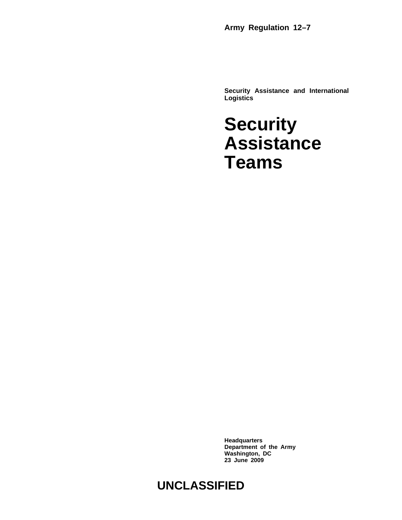**Army Regulation 12–7**

**Security Assistance and International Logistics**

### **Security Assistance Teams**

**Headquarters Department of the Army Washington, DC 23 June 2009**

#### **UNCLASSIFIED**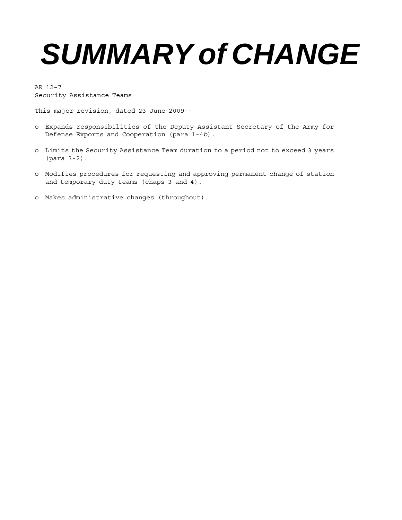## *SUMMARY of CHANGE*

AR 12–7 Security Assistance Teams

This major revision, dated 23 June 2009--

- o Expands responsibilities of the Deputy Assistant Secretary of the Army for Defense Exports and Cooperation (para 1-4*b*).
- o Limits the Security Assistance Team duration to a period not to exceed 3 years (para 3-2).
- o Modifies procedures for requesting and approving permanent change of station and temporary duty teams (chaps 3 and 4).
- o Makes administrative changes (throughout).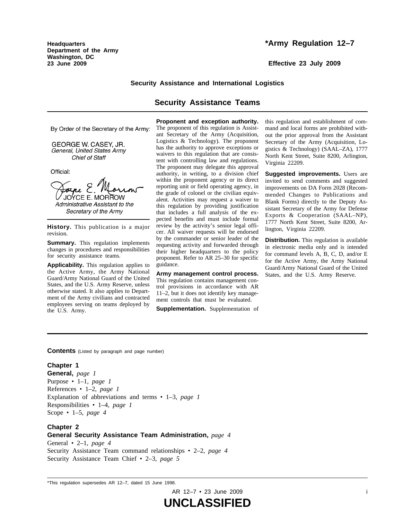**Headquarters Department of the Army Washington, DC 23 June 2009**

#### **\*Army Regulation 12–7**

**Effective 23 July 2009**

#### **Security Assistance and International Logistics**

#### **Security Assistance Teams**

By Order of the Secretary of the Army:

GEORGE W. CASEY, JR. General, United States Army **Chief of Staff** 

Official:

Joine E. JOYCE E. MORROW Administrative Assistant to the Secretary of the Army

**History.** This publication is a major revision.

**Summary.** This regulation implements changes in procedures and responsibilities for security assistance teams.

**Applicability.** This regulation applies to the Active Army, the Army National Guard/Army National Guard of the United States, and the U.S. Army Reserve, unless otherwise stated. It also applies to Department of the Army civilians and contracted employees serving on teams deployed by the U.S. Army.

**Proponent and exception authority.**

The proponent of this regulation is Assistant Secretary of the Army (Acquisition, Logistics & Technology). The proponent has the authority to approve exceptions or waivers to this regulation that are consistent with controlling law and regulations. The proponent may delegate this approval authority, in writing, to a division chief within the proponent agency or its direct reporting unit or field operating agency, in the grade of colonel or the civilian equivalent. Activities may request a waiver to this regulation by providing justification that includes a full analysis of the expected benefits and must include formal review by the activity's senior legal officer. All waiver requests will be endorsed by the commander or senior leader of the requesting activity and forwarded through their higher headquarters to the policy proponent. Refer to AR 25–30 for specific guidance.

**Army management control process.** This regulation contains management control provisions in accordance with AR 11–2, but it does not identify key management controls that must be evaluated.

**Supplementation.** Supplementation of

this regulation and establishment of command and local forms are prohibited without the prior approval from the Assistant Secretary of the Army (Acquisition, Logistics & Technology) (SAAL–ZA), 1777 North Kent Street, Suite 8200, Arlington, Virginia 22209.

**Suggested improvements.** Users are invited to send comments and suggested improvements on DA Form 2028 (Recommended Changes to Publications and Blank Forms) directly to the Deputy Assistant Secretary of the Army for Defense Exports & Cooperation  $(SAAL-NP)$ , 1777 North Kent Street, Suite 8200, Arlington, Virginia 22209.

**Distribution.** This regulation is available in electronic media only and is intended for command levels A, B, C, D, and/or E for the Active Army, the Army National Guard/Army National Guard of the United States, and the U.S. Army Reserve.

**Contents** (Listed by paragraph and page number)

#### **Chapter 1**

**General,** *page 1* Purpose • 1–1, *page 1* References • 1–2, *page 1* Explanation of abbreviations and terms • 1–3, *page 1* Responsibilities • 1–4, *page 1* Scope • 1–5, *page 4*

#### **Chapter 2 General Security Assistance Team Administration,** *page 4*

General • 2–1, *page 4* Security Assistance Team command relationships • 2–2, *page 4* Security Assistance Team Chief • 2–3, *page 5*

<sup>\*</sup>This regulation supersedes AR 12–7, dated 15 June 1998.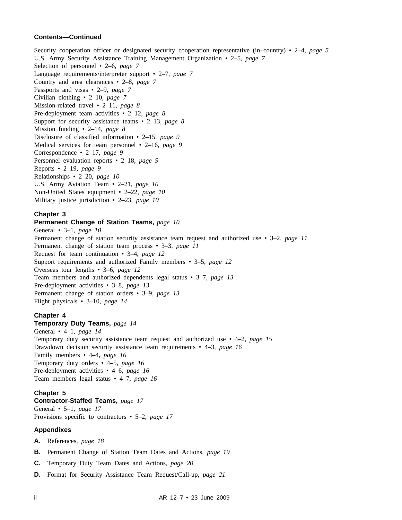#### **Contents—Continued**

Security cooperation officer or designated security cooperation representative (in–country) • 2–4, *page 5* U.S. Army Security Assistance Training Management Organization • 2–5, *page 7* Selection of personnel • 2–6, *page 7* Language requirements/interpreter support • 2–7, *page 7* Country and area clearances • 2–8, *page 7* Passports and visas • 2–9, *page 7* Civilian clothing • 2–10, *page 7* Mission-related travel • 2–11, *page 8* Pre-deployment team activities • 2–12, *page 8* Support for security assistance teams • 2–13, *page 8* Mission funding • 2–14, *page 8* Disclosure of classified information • 2–15, *page 9* Medical services for team personnel • 2–16, *page 9* Correspondence • 2–17, *page 9* Personnel evaluation reports • 2–18, *page 9* Reports • 2–19, *page 9* Relationships • 2–20, *page 10* U.S. Army Aviation Team • 2–21, *page 10* Non-United States equipment • 2–22, *page 10* Military justice jurisdiction • 2–23, *page 10*

#### **Chapter 3**

#### **Permanent Change of Station Teams,** *page 10*

General • 3–1, *page 10* Permanent change of station security assistance team request and authorized use • 3–2, *page 11* Permanent change of station team process • 3–3, *page 11* Request for team continuation • 3–4, *page 12* Support requirements and authorized Family members • 3–5, *page 12* Overseas tour lengths • 3–6, *page 12* Team members and authorized dependents legal status • 3–7, *page 13* Pre-deployment activities • 3–8, *page 13* Permanent change of station orders • 3–9, *page 13* Flight physicals • 3–10, *page 14*

#### **Chapter 4**

#### **Temporary Duty Teams,** *page 14*

General • 4–1, *page 14* Temporary duty security assistance team request and authorized use • 4–2, *page 15* Drawdown decision security assistance team requirements • 4–3, *page 16* Family members • 4–4, *page 16* Temporary duty orders • 4–5, *page 16* Pre-deployment activities • 4–6, *page 16* Team members legal status • 4–7, *page 16*

#### **Chapter 5**

**Contractor-Staffed Teams,** *page 17* General • 5–1, *page 17* Provisions specific to contractors • 5–2, *page 17*

#### **Appendixes**

- **A.** References, *page 18*
- **B.** Permanent Change of Station Team Dates and Actions, *page 19*
- **C.** Temporary Duty Team Dates and Actions, *page 20*
- **D.** Format for Security Assistance Team Request/Call-up, *page 21*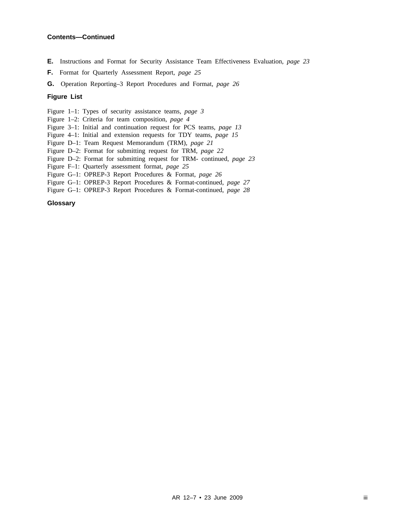#### **Contents—Continued**

- **E.** Instructions and Format for Security Assistance Team Effectiveness Evaluation, *page 23*
- **F.** Format for Quarterly Assessment Report, *page 25*
- **G.** Operation Reporting–3 Report Procedures and Format, *page 26*

#### **Figure List**

Figure 1–1: Types of security assistance teams, *page 3*

- Figure 1–2: Criteria for team composition, *page 4*
- Figure 3–1: Initial and continuation request for PCS teams, *page 13*
- Figure 4–1: Initial and extension requests for TDY teams, *page 15*
- Figure D–1: Team Request Memorandum (TRM), *page 21*
- Figure D–2: Format for submitting request for TRM, *page 22*
- Figure D–2: Format for submitting request for TRM- continued, *page 23*
- Figure F–1: Quarterly assessment format, *page 25*
- Figure G–1: OPREP-3 Report Procedures & Format, *page 26*
- Figure G–1: OPREP-3 Report Procedures & Format-continued, *page 27*
- Figure G–1: OPREP-3 Report Procedures & Format-continued, *page 28*

#### **Glossary**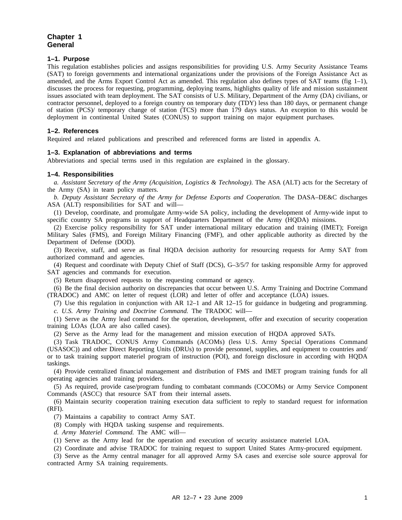#### **Chapter 1 General**

#### **1–1. Purpose**

This regulation establishes policies and assigns responsibilities for providing U.S. Army Security Assistance Teams (SAT) to foreign governments and international organizations under the provisions of the Foreign Assistance Act as amended, and the Arms Export Control Act as amended. This regulation also defines types of SAT teams (fig  $1-1$ ), discusses the process for requesting, programming, deploying teams, highlights quality of life and mission sustainment issues associated with team deployment. The SAT consists of U.S. Military, Department of the Army (DA) civilians, or contractor personnel, deployed to a foreign country on temporary duty (TDY) less than 180 days, or permanent change of station (PCS)/ temporary change of station (TCS) more than 179 days status. An exception to this would be deployment in continental United States (CONUS) to support training on major equipment purchases.

#### **1–2. References**

Required and related publications and prescribed and referenced forms are listed in appendix A.

#### **1–3. Explanation of abbreviations and terms**

Abbreviations and special terms used in this regulation are explained in the glossary.

#### **1–4. Responsibilities**

*a. Assistant Secretary of the Army (Acquisition, Logistics & Technology).* The ASA (ALT) acts for the Secretary of the Army (SA) in team policy matters.

*b. Deputy Assistant Secretary of the Army for Defense Exports and Cooperation.* The DASA–DE&C discharges ASA (ALT) responsibilities for SAT and will—

(1) Develop, coordinate, and promulgate Army-wide SA policy, including the development of Army-wide input to specific country SA programs in support of Headquarters Department of the Army (HQDA) missions.

(2) Exercise policy responsibility for SAT under international military education and training (IMET); Foreign Military Sales (FMS), and Foreign Military Financing (FMF), and other applicable authority as directed by the Department of Defense (DOD).

(3) Receive, staff, and serve as final HQDA decision authority for resourcing requests for Army SAT from authorized command and agencies.

(4) Request and coordinate with Deputy Chief of Staff (DCS), G–3/5/7 for tasking responsible Army for approved SAT agencies and commands for execution.

(5) Return disapproved requests to the requesting command or agency.

(6) Be the final decision authority on discrepancies that occur between U.S. Army Training and Doctrine Command (TRADOC) and AMC on letter of request (LOR) and letter of offer and acceptance (LOA) issues.

(7) Use this regulation in conjunction with AR 12–1 and AR 12–15 for guidance in budgeting and programming. *c. U.S. Army Training and Doctrine Command.* The TRADOC will—

(1) Serve as the Army lead command for the operation, development, offer and execution of security cooperation training LOAs (LOA are also called cases).

(2) Serve as the Army lead for the management and mission execution of HQDA approved SATs.

(3) Task TRADOC, CONUS Army Commands (ACOMs) (less U.S. Army Special Operations Command (USASOC)) and other Direct Reporting Units (DRUs) to provide personnel, supplies, and equipment to countries and/ or to task training support materiel program of instruction (POI), and foreign disclosure in according with HQDA taskings.

(4) Provide centralized financial management and distribution of FMS and IMET program training funds for all operating agencies and training providers.

(5) As required, provide case/program funding to combatant commands (COCOMs) or Army Service Component Commands (ASCC) that resource SAT from their internal assets.

(6) Maintain security cooperation training execution data sufficient to reply to standard request for information (RFI).

(7) Maintains a capability to contract Army SAT.

(8) Comply with HQDA tasking suspense and requirements.

*d. Army Materiel Command.* The AMC will—

(1) Serve as the Army lead for the operation and execution of security assistance materiel LOA.

(2) Coordinate and advise TRADOC for training request to support United States Army-procured equipment.

(3) Serve as the Army central manager for all approved Army SA cases and exercise sole source approval for contracted Army SA training requirements.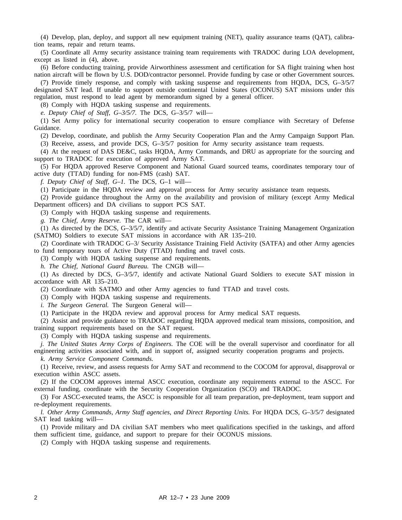(4) Develop, plan, deploy, and support all new equipment training (NET), quality assurance teams (QAT), calibration teams, repair and return teams.

(5) Coordinate all Army security assistance training team requirements with TRADOC during LOA development, except as listed in (4), above.

(6) Before conducting training, provide Airworthiness assessment and certification for SA flight training when host nation aircraft will be flown by U.S. DOD/contractor personnel. Provide funding by case or other Government sources.

(7) Provide timely response, and comply with tasking suspense and requirements from HQDA, DCS, G–3/5/7 designated SAT lead. If unable to support outside continental United States (OCONUS) SAT missions under this regulation, must respond to lead agent by memorandum signed by a general officer.

(8) Comply with HQDA tasking suspense and requirements.

*e. Deputy Chief of Staff, G–3/5/7.* The DCS, G–3/5/7 will—

(1) Set Army policy for international security cooperation to ensure compliance with Secretary of Defense Guidance.

(2) Develop, coordinate, and publish the Army Security Cooperation Plan and the Army Campaign Support Plan.

(3) Receive, assess, and provide DCS, G–3/5/7 position for Army security assistance team requests.

(4) At the request of DAS DE&C, tasks HQDA, Army Commands, and DRU as appropriate for the sourcing and support to TRADOC for execution of approved Army SAT.

(5) For HQDA approved Reserve Component and National Guard sourced teams, coordinates temporary tour of active duty (TTAD) funding for non-FMS (cash) SAT.

*f. Deputy Chief of Staff, G–1.* The DCS, G–1 will—

(1) Participate in the HQDA review and approval process for Army security assistance team requests.

(2) Provide guidance throughout the Army on the availability and provision of military (except Army Medical Department officers) and DA civilians to support PCS SAT.

(3) Comply with HQDA tasking suspense and requirements.

*g. The Chief, Army Reserve.* The CAR will—

(1) As directed by the DCS, G–3/5/7, identify and activate Security Assistance Training Management Organization (SATMO) Soldiers to execute SAT missions in accordance with AR 135–210.

(2) Coordinate with TRADOC G–3/ Security Assistance Training Field Activity (SATFA) and other Army agencies to fund temporary tours of Active Duty (TTAD) funding and travel costs.

(3) Comply with HQDA tasking suspense and requirements.

*h. The Chief, National Guard Bureau.* The CNGB will—

(1) As directed by DCS, G–3/5/7, identify and activate National Guard Soldiers to execute SAT mission in accordance with AR 135–210.

(2) Coordinate with SATMO and other Army agencies to fund TTAD and travel costs.

(3) Comply with HQDA tasking suspense and requirements.

*i. The Surgeon General.* The Surgeon General will—

(1) Participate in the HQDA review and approval process for Army medical SAT requests.

(2) Assist and provide guidance to TRADOC regarding HQDA approved medical team missions, composition, and training support requirements based on the SAT request.

(3) Comply with HQDA tasking suspense and requirements.

*j. The United States Army Corps of Engineers.* The COE will be the overall supervisor and coordinator for all engineering activities associated with, and in support of, assigned security cooperation programs and projects.

*k. Army Service Component Commands.*

(1) Receive, review, and assess requests for Army SAT and recommend to the COCOM for approval, disapproval or execution within ASCC assets.

(2) If the COCOM approves internal ASCC execution, coordinate any requirements external to the ASCC. For external funding, coordinate with the Security Cooperation Organization (SCO) and TRADOC.

(3) For ASCC-executed teams, the ASCC is responsible for all team preparation, pre-deployment, team support and re-deployment requirements.

*l. Other Army Commands, Army Staff agencies, and Direct Reporting Units.* For HQDA DCS, G–3/5/7 designated SAT lead tasking will—

(1) Provide military and DA civilian SAT members who meet qualifications specified in the taskings, and afford them sufficient time, guidance, and support to prepare for their OCONUS missions.

(2) Comply with HQDA tasking suspense and requirements.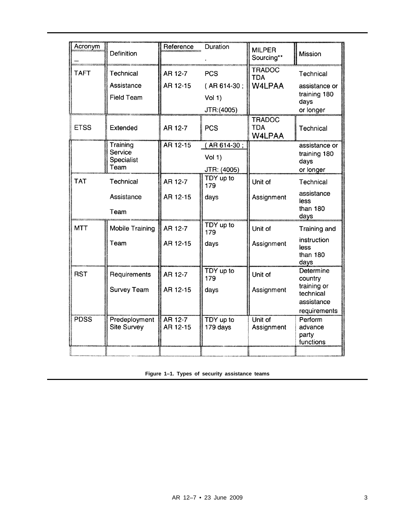| Acronym     | Definition                                | Reference           | Duration                            | <b>MILPER</b><br>Sourcing**                  | <b>Mission</b>                                           |
|-------------|-------------------------------------------|---------------------|-------------------------------------|----------------------------------------------|----------------------------------------------------------|
| <b>TAFT</b> | Technical<br>Assistance                   | AR 12-7<br>AR 12-15 | <b>PCS</b><br>(AR 614-30;           | <b>TRADOC</b><br><b>TDA</b><br><b>W4LPAA</b> | Technical<br>assistance or                               |
|             | <b>Field Team</b>                         |                     | Vol(1)<br>JTR:(4005)                |                                              | training 180<br>days<br>or longer                        |
| <b>ETSS</b> | Extended                                  | AR 12-7             | <b>PCS</b>                          | <b>TRADOC</b><br><b>TDA</b><br><b>W4LPAA</b> | <b>Technical</b>                                         |
|             | Training<br>Service<br>Specialist<br>Team | AR 12-15            | (AR614-30;<br>Vol(1)<br>JTR: (4005) |                                              | assistance or<br>training 180<br>days<br>or longer       |
| <b>TAT</b>  | Technical                                 | AR 12-7             | TDY up to<br>179                    | Unit of                                      | Technical                                                |
|             | Assistance<br>Team                        | AR 12-15            | days                                | Assignment                                   | assistance<br>less<br>than 180<br>days                   |
| <b>MTT</b>  | <b>Mobile Training</b>                    | AR 12-7             | TDY up to<br>179                    | Unit of                                      | Training and                                             |
|             | Team                                      | AR 12-15            | days                                | Assignment                                   | instruction<br>less<br>than 180<br>days                  |
| <b>RST</b>  | Requirements                              | AR 12-7             | TDY up to<br>179                    | Unit of                                      | <b>Determine</b><br>country                              |
|             | <b>Survey Team</b>                        | AR 12-15            | days                                | Assignment                                   | training or<br>technical<br>assistance                   |
| <b>PDSS</b> | Predeployment<br>Site Survey              | AR 12-7<br>AR 12-15 | TDY up to<br>179 days               | Unit of<br>Assignment                        | requirements<br>Perform<br>advance<br>party<br>functions |
|             |                                           |                     |                                     |                                              |                                                          |

**Figure 1–1. Types of security assistance teams**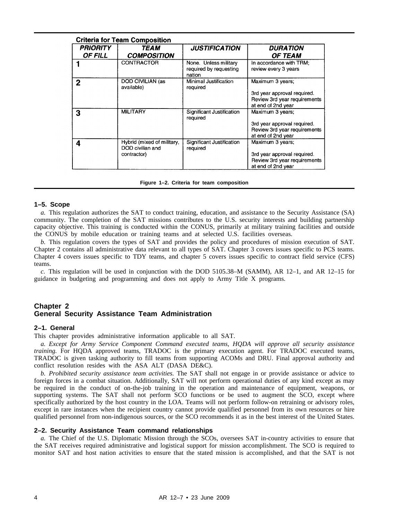| <b>Criteria for Team Composition</b> |                                                               |                                                           |                                                                                                       |  |  |
|--------------------------------------|---------------------------------------------------------------|-----------------------------------------------------------|-------------------------------------------------------------------------------------------------------|--|--|
| <b>PRIORITY</b><br><b>OF FILL</b>    | <i><b>TEAM</b></i><br><b>COMPOSITION</b>                      | <b>JUSTIFICATION</b>                                      | <b>DURATION</b><br><b>OF TEAM</b>                                                                     |  |  |
|                                      | <b>CONTRACTOR</b>                                             | None. Unless military<br>required by requesting<br>nation | In accordance with TRM;<br>review every 3 years                                                       |  |  |
| 2                                    | DOD CIVILIAN (as<br>available)                                | Minimal Justification<br>required                         | Maximum 3 years;<br>3rd year approval required.<br>Review 3rd year requirements<br>at end of 2nd year |  |  |
| 3                                    | <b>MILITARY</b>                                               | Significant Justification<br>required                     | Maximum 3 years;<br>3rd year approval required.<br>Review 3rd year requirements<br>at end of 2nd year |  |  |
| 4                                    | Hybrid (mixed of military,<br>DOD civilian and<br>contractor) | Significant Justification<br>required                     | Maximum 3 years;<br>3rd year approval required.<br>Review 3rd year requirements<br>at end of 2nd year |  |  |

**Figure 1–2. Criteria for team composition**

#### **1–5. Scope**

*a.* This regulation authorizes the SAT to conduct training, education, and assistance to the Security Assistance (SA) community. The completion of the SAT missions contributes to the U.S. security interests and building partnership capacity objective. This training is conducted within the CONUS, primarily at military training facilities and outside the CONUS by mobile education or training teams and at selected U.S. facilities overseas.

*b.* This regulation covers the types of SAT and provides the policy and procedures of mission execution of SAT. Chapter 2 contains all administrative data relevant to all types of SAT. Chapter 3 covers issues specific to PCS teams. Chapter 4 covers issues specific to TDY teams, and chapter 5 covers issues specific to contract field service (CFS) teams.

*c.* This regulation will be used in conjunction with the DOD 5105.38–M (SAMM), AR 12–1, and AR 12–15 for guidance in budgeting and programming and does not apply to Army Title X programs.

#### **Chapter 2 General Security Assistance Team Administration**

#### **2–1. General**

This chapter provides administrative information applicable to all SAT.

*a. Except for Army Service Component Command executed teams, HQDA will approve all security assistance training.* For HQDA approved teams, TRADOC is the primary execution agent. For TRADOC executed teams, TRADOC is given tasking authority to fill teams from supporting ACOMs and DRU. Final approval authority and conflict resolution resides with the ASA ALT (DASA DE&C).

*b. Prohibited security assistance team activities.* The SAT shall not engage in or provide assistance or advice to foreign forces in a combat situation. Additionally, SAT will not perform operational duties of any kind except as may be required in the conduct of on-the-job training in the operation and maintenance of equipment, weapons, or supporting systems. The SAT shall not perform SCO functions or be used to augment the SCO, except where specifically authorized by the host country in the LOA. Teams will not perform follow-on retraining or advisory roles, except in rare instances when the recipient country cannot provide qualified personnel from its own resources or hire qualified personnel from non-indigenous sources, or the SCO recommends it as in the best interest of the United States.

#### **2–2. Security Assistance Team command relationships**

*a.* The Chief of the U.S. Diplomatic Mission through the SCOs, oversees SAT in-country activities to ensure that the SAT receives required administrative and logistical support for mission accomplishment. The SCO is required to monitor SAT and host nation activities to ensure that the stated mission is accomplished, and that the SAT is not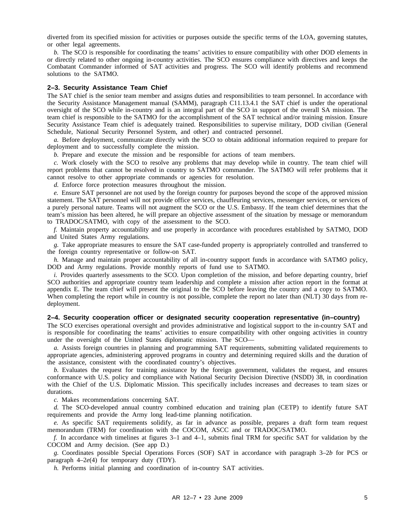diverted from its specified mission for activities or purposes outside the specific terms of the LOA, governing statutes, or other legal agreements.

*b.* The SCO is responsible for coordinating the teams' activities to ensure compatibility with other DOD elements in or directly related to other ongoing in-country activities. The SCO ensures compliance with directives and keeps the Combatant Commander informed of SAT activities and progress. The SCO will identify problems and recommend solutions to the SATMO.

#### **2–3. Security Assistance Team Chief**

The SAT chief is the senior team member and assigns duties and responsibilities to team personnel. In accordance with the Security Assistance Management manual (SAMM), paragraph C11.13.4.1 the SAT chief is under the operational oversight of the SCO while in-country and is an integral part of the SCO in support of the overall SA mission. The team chief is responsible to the SATMO for the accomplishment of the SAT technical and/or training mission. Ensure Security Assistance Team chief is adequately trained. Responsibilities to supervise military, DOD civilian (General Schedule, National Security Personnel System, and other) and contracted personnel.

*a.* Before deployment, communicate directly with the SCO to obtain additional information required to prepare for deployment and to successfully complete the mission.

*b.* Prepare and execute the mission and be responsible for actions of team members.

*c.* Work closely with the SCO to resolve any problems that may develop while in country. The team chief will report problems that cannot be resolved in country to SATMO commander. The SATMO will refer problems that it cannot resolve to other appropriate commands or agencies for resolution.

*d.* Enforce force protection measures throughout the mission.

*e.* Ensure SAT personnel are not used by the foreign country for purposes beyond the scope of the approved mission statement. The SAT personnel will not provide office services, chauffeuring services, messenger services, or services of a purely personal nature. Teams will not augment the SCO or the U.S. Embassy. If the team chief determines that the team's mission has been altered, he will prepare an objective assessment of the situation by message or memorandum to TRADOC/SATMO, with copy of the assessment to the SCO.

*f.* Maintain property accountability and use properly in accordance with procedures established by SATMO, DOD and United States Army regulations.

*g.* Take appropriate measures to ensure the SAT case-funded property is appropriately controlled and transferred to the foreign country representative or follow-on SAT.

*h.* Manage and maintain proper accountability of all in-country support funds in accordance with SATMO policy, DOD and Army regulations. Provide monthly reports of fund use to SATMO.

*i.* Provides quarterly assessments to the SCO. Upon completion of the mission, and before departing country, brief SCO authorities and appropriate country team leadership and complete a mission after action report in the format at appendix E. The team chief will present the original to the SCO before leaving the country and a copy to SATMO. When completing the report while in country is not possible, complete the report no later than (NLT) 30 days from redeployment.

#### **2–4. Security cooperation officer or designated security cooperation representative (in–country)**

The SCO exercises operational oversight and provides administrative and logistical support to the in-country SAT and is responsible for coordinating the teams' activities to ensure compatibility with other ongoing activities in country under the oversight of the United States diplomatic mission. The SCO—

*a.* Assists foreign countries in planning and programming SAT requirements, submitting validated requirements to appropriate agencies, administering approved programs in country and determining required skills and the duration of the assistance, consistent with the coordinated country's objectives.

*b.* Evaluates the request for training assistance by the foreign government, validates the request, and ensures conformance with U.S. policy and compliance with National Security Decision Directive (NSDD) 38, in coordination with the Chief of the U.S. Diplomatic Mission. This specifically includes increases and decreases to team sizes or durations.

*c.* Makes recommendations concerning SAT.

*d.* The SCO-developed annual country combined education and training plan (CETP) to identify future SAT requirements and provide the Army long lead-time planning notification.

*e.* As specific SAT requirements solidify, as far in advance as possible, prepares a draft form team request memorandum (TRM) for coordination with the COCOM, ASCC and or TRADOC/SATMO.

*f.* In accordance with timelines at figures 3–1 and 4–1, submits final TRM for specific SAT for validation by the COCOM and Army decision. (See app D.)

*g.* Coordinates possible Special Operations Forces (SOF) SAT in accordance with paragraph 3–2*b* for PCS or paragraph 4–2*e*(4) for temporary duty (TDY).

*h.* Performs initial planning and coordination of in-country SAT activities.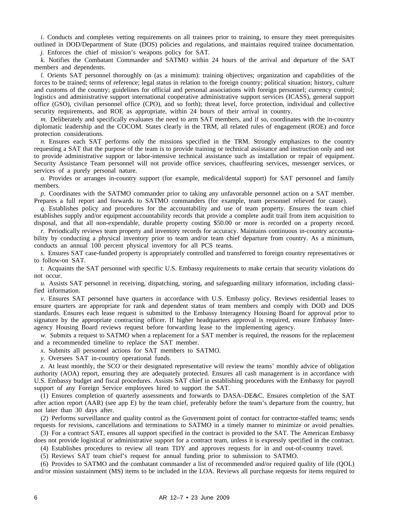*i.* Conducts and completes vetting requirements on all trainees prior to training, to ensure they meet prerequisites outlined in DOD/Department of State (DOS) policies and regulations, and maintains required trainee documentation.

*j.* Enforces the chief of mission's weapons policy for SAT.

*k.* Notifies the Combatant Commander and SATMO within 24 hours of the arrival and departure of the SAT members and dependents.

*l.* Orients SAT personnel thoroughly on (as a minimum): training objectives; organization and capabilities of the forces to be trained; terms of reference; legal status in relation to the foreign country; political situation; history, culture and customs of the country; guidelines for official and personal associations with foreign personnel; currency control; logistics and administrative support international cooperative administrative support services (ICASS), general support office (GSO), civilian personnel office (CPO), and so forth); threat level, force protection, individual and collective security requirements, and ROE as appropriate, within 24 hours of their arrival in country.

*m.* Deliberately and specifically evaluates the need to arm SAT members, and if so, coordinates with the in-country diplomatic leadership and the COCOM. States clearly in the TRM, all related rules of engagement (ROE) and force protection considerations.

*n.* Ensures each SAT performs only the missions specified in the TRM. Strongly emphasizes to the country requesting a SAT that the purpose of the team is to provide training or technical assistance and instruction only and not to provide administrative support or labor-intensive technical assistance such as installation or repair of equipment. Security Assistance Team personnel will not provide office services, chauffeuring services, messenger services, or services of a purely personal nature.

*o.* Provides or arranges in-country support (for example, medical/dental support) for SAT personnel and family members.

*p.* Coordinates with the SATMO commander prior to taking any unfavorable personnel action on a SAT member. Prepares a full report and forwards to SATMO commanders (for example, team personnel relieved for cause).

*q.* Establishes policy and procedures for the accountability and use of team property. Ensures the team chief establishes supply and/or equipment accountability records that provide a complete audit trail from item acquisition to disposal, and that all non-expendable, durable property costing \$50.00 or more is recorded on a property record.

*r.* Periodically reviews team property and inventory records for accuracy. Maintains continuous in-country accountability by conducting a physical inventory prior to team and/or team chief departure from country. As a minimum, conducts an annual 100 percent physical inventory for all PCS teams.

*s.* Ensures SAT case-funded property is appropriately controlled and transferred to foreign country representatives or to follow-on SAT.

*t.* Acquaints the SAT personnel with specific U.S. Embassy requirements to make certain that security violations do not occur.

*u.* Assists SAT personnel in receiving, dispatching, storing, and safeguarding military information, including classified information.

*v.* Ensures SAT personnel have quarters in accordance with U.S. Embassy policy. Reviews residential leases to ensure quarters are appropriate for rank and dependent status of team members and comply with DOD and DOS standards. Ensures each lease request is submitted to the Embassy Interagency Housing Board for approval prior to signature by the appropriate contracting officer. If higher headquarters approval is required, ensure Embassy Interagency Housing Board reviews request before forwarding lease to the implementing agency.

*w.* Submits a request to SATMO when a replacement for a SAT member is required, the reasons for the replacement and a recommended timeline to replace the SAT member.

*x.* Submits all personnel actions for SAT members to SATMO.

*y.* Oversees SAT in-country operational funds.

*z.* At least monthly, the SCO or their designated representative will review the teams' monthly advice of obligation authority (AOA) report, ensuring they are adequately protected. Ensures all cash management is in accordance with U.S. Embassy budget and fiscal procedures. Assists SAT chief in establishing procedures with the Embassy for payroll support of any Foreign Service employees hired to support the SAT.

(1) Ensures completion of quarterly assessments and forwards to DASA–DE&C. Ensures completion of the SAT after action report (AAR) (see app E) by the team chief, preferably before the team's departure from the country, but not later than 30 days after.

(2) Performs surveillance and quality control as the Government point of contact for contractor-staffed teams; sends requests for revisions, cancellations and terminations to SATMO in a timely manner to minimize or avoid penalties.

(3) For a contract SAT, ensures all support specified in the contract is provided to the SAT. The American Embassy does not provide logistical or administrative support for a contract team, unless it is expressly specified in the contract.

(4) Establishes procedures to review all team TDY and approves requests for in and out-of-country travel.

(5) Reviews SAT team chief's request for annual funding prior to submission to SATMO.

(6) Provides to SATMO and the combatant commander a list of recommended and/or required quality of life (QOL) and/or mission sustainment (MS) items to be included in the LOA. Reviews all purchase requests for items required to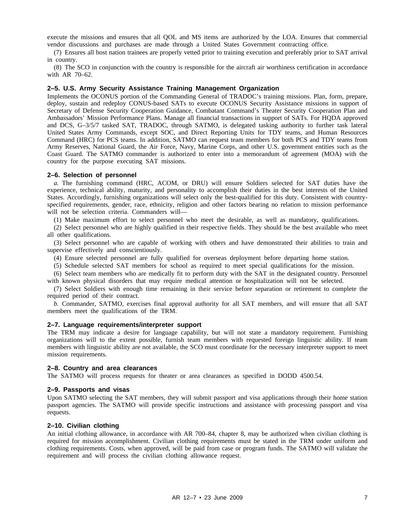execute the missions and ensures that all QOL and MS items are authorized by the LOA. Ensures that commercial vendor discussions and purchases are made through a United States Government contracting office.

(7) Ensures all host nation trainees are properly vetted prior to training execution and preferably prior to SAT arrival in country.

(8) The SCO in conjunction with the country is responsible for the aircraft air worthiness certification in accordance with AR 70–62.

#### **2–5. U.S. Army Security Assistance Training Management Organization**

Implements the OCONUS portion of the Commanding General of TRADOC's training missions. Plan, form, prepare, deploy, sustain and redeploy CONUS-based SATs to execute OCONUS Security Assistance missions in support of Secretary of Defense Security Cooperation Guidance, Combatant Command's Theater Security Cooperation Plan and Ambassadors' Mission Performance Plans. Manage all financial transactions in support of SATs. For HQDA approved and DCS, G–3/5/7 tasked SAT, TRADOC, through SATMO, is delegated tasking authority to further task lateral United States Army Commands, except SOC, and Direct Reporting Units for TDY teams, and Human Resources Command (HRC) for PCS teams. In addition, SATMO can request team members for both PCS and TDY teams from Army Reserves, National Guard, the Air Force, Navy, Marine Corps, and other U.S. government entities such as the Coast Guard. The SATMO commander is authorized to enter into a memorandum of agreement (MOA) with the country for the purpose executing SAT missions.

#### **2–6. Selection of personnel**

*a.* The furnishing command (HRC, ACOM, or DRU) will ensure Soldiers selected for SAT duties have the experience, technical ability, maturity, and personality to accomplish their duties in the best interests of the United States. Accordingly, furnishing organizations will select only the best-qualified for this duty. Consistent with countryspecified requirements, gender, race, ethnicity, religion and other factors bearing no relation to mission performance will not be selection criteria. Commanders will—

(1) Make maximum effort to select personnel who meet the desirable, as well as mandatory, qualifications.

(2) Select personnel who are highly qualified in their respective fields. They should be the best available who meet all other qualifications.

(3) Select personnel who are capable of working with others and have demonstrated their abilities to train and supervise effectively and conscientiously.

(4) Ensure selected personnel are fully qualified for overseas deployment before departing home station.

(5) Schedule selected SAT members for school as required to meet special qualifications for the mission.

(6) Select team members who are medically fit to perform duty with the SAT in the designated country. Personnel with known physical disorders that may require medical attention or hospitalization will not be selected.

(7) Select Soldiers with enough time remaining in their service before separation or retirement to complete the required period of their contract.

*b.* Commander, SATMO, exercises final approval authority for all SAT members, and will ensure that all SAT members meet the qualifications of the TRM.

#### **2–7. Language requirements/interpreter support**

The TRM may indicate a desire for language capability, but will not state a mandatory requirement. Furnishing organizations will to the extent possible, furnish team members with requested foreign linguistic ability. If team members with linguistic ability are not available, the SCO must coordinate for the necessary interpreter support to meet mission requirements.

#### **2–8. Country and area clearances**

The SATMO will process requests for theater or area clearances as specified in DODD 4500.54.

#### **2–9. Passports and visas**

Upon SATMO selecting the SAT members, they will submit passport and visa applications through their home station passport agencies. The SATMO will provide specific instructions and assistance with processing passport and visa requests.

#### **2–10. Civilian clothing**

An initial clothing allowance, in accordance with AR 700–84, chapter 8, may be authorized when civilian clothing is required for mission accomplishment. Civilian clothing requirements must be stated in the TRM under uniform and clothing requirements. Costs, when approved, will be paid from case or program funds. The SATMO will validate the requirement and will process the civilian clothing allowance request.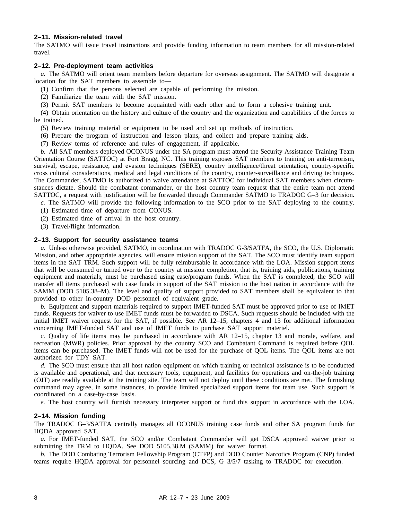#### **2–11. Mission-related travel**

The SATMO will issue travel instructions and provide funding information to team members for all mission-related travel.

#### **2–12. Pre-deployment team activities**

*a.* The SATMO will orient team members before departure for overseas assignment. The SATMO will designate a location for the SAT members to assemble to—

(1) Confirm that the persons selected are capable of performing the mission.

(2) Familiarize the team with the SAT mission.

(3) Permit SAT members to become acquainted with each other and to form a cohesive training unit.

(4) Obtain orientation on the history and culture of the country and the organization and capabilities of the forces to be trained.

- (5) Review training material or equipment to be used and set up methods of instruction.
- (6) Prepare the program of instruction and lesson plans, and collect and prepare training aids.
- (7) Review terms of reference and rules of engagement, if applicable.

*b.* All SAT members deployed OCONUS under the SA program must attend the Security Assistance Training Team Orientation Course (SATTOC) at Fort Bragg, NC. This training exposes SAT members to training on anti-terrorism, survival, escape, resistance, and evasion techniques (SERE), country intelligence/threat orientation, country-specific cross cultural considerations, medical and legal conditions of the country, counter-surveillance and driving techniques. The Commander, SATMO is authorized to waive attendance at SATTOC for individual SAT members when circumstances dictate. Should the combatant commander, or the host country team request that the entire team not attend SATTOC, a request with justification will be forwarded through Commander SATMO to TRADOC G–3 for decision.

*c.* The SATMO will provide the following information to the SCO prior to the SAT deploying to the country.

- (1) Estimated time of departure from CONUS.
- (2) Estimated time of arrival in the host country.
- (3) Travel/flight information.

#### **2–13. Support for security assistance teams**

*a.* Unless otherwise provided, SATMO, in coordination with TRADOC G-3/SATFA, the SCO, the U.S. Diplomatic Mission, and other appropriate agencies, will ensure mission support of the SAT. The SCO must identify team support items in the SAT TRM. Such support will be fully reimbursable in accordance with the LOA. Mission support items that will be consumed or turned over to the country at mission completion, that is, training aids, publications, training equipment and materials, must be purchased using case/program funds. When the SAT is completed, the SCO will transfer all items purchased with case funds in support of the SAT mission to the host nation in accordance with the SAMM (DOD 5105.38–M). The level and quality of support provided to SAT members shall be equivalent to that provided to other in-country DOD personnel of equivalent grade.

*b.* Equipment and support materials required to support IMET-funded SAT must be approved prior to use of IMET funds. Requests for waiver to use IMET funds must be forwarded to DSCA. Such requests should be included with the initial IMET waiver request for the SAT, if possible. See AR 12–15, chapters 4 and 13 for additional information concerning IMET-funded SAT and use of IMET funds to purchase SAT support materiel.

*c.* Quality of life items may be purchased in accordance with AR 12–15, chapter 13 and morale, welfare, and recreation (MWR) policies. Prior approval by the country SCO and Combatant Command is required before QOL items can be purchased. The IMET funds will not be used for the purchase of QOL items. The QOL items are not authorized for TDY SAT.

*d.* The SCO must ensure that all host nation equipment on which training or technical assistance is to be conducted is available and operational, and that necessary tools, equipment, and facilities for operations and on-the-job training (OJT) are readily available at the training site. The team will not deploy until these conditions are met. The furnishing command may agree, in some instances, to provide limited specialized support items for team use. Such support is coordinated on a case-by-case basis.

*e.* The host country will furnish necessary interpreter support or fund this support in accordance with the LOA.

#### **2–14. Mission funding**

The TRADOC G–3/SATFA centrally manages all OCONUS training case funds and other SA program funds for HQDA approved SAT.

*a.* For IMET-funded SAT, the SCO and/or Combatant Commander will get DSCA approved waiver prior to submitting the TRM to HQDA. See DOD 5105.38.M (SAMM) for waiver format.

*b.* The DOD Combating Terrorism Fellowship Program (CTFP) and DOD Counter Narcotics Program (CNP) funded teams require HQDA approval for personnel sourcing and DCS, G–3/5/7 tasking to TRADOC for execution.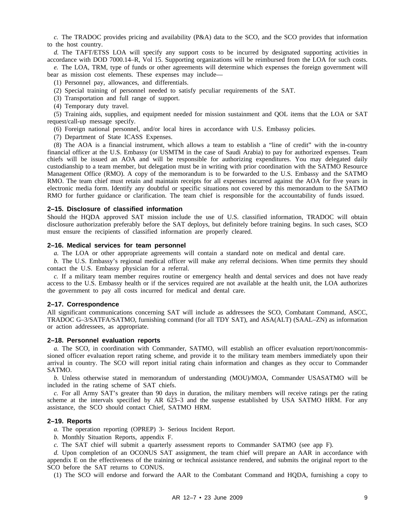*c.* The TRADOC provides pricing and availability (P&A) data to the SCO, and the SCO provides that information to the host country.

*d.* The TAFT/ETSS LOA will specify any support costs to be incurred by designated supporting activities in accordance with DOD 7000.14–R, Vol 15. Supporting organizations will be reimbursed from the LOA for such costs. *e.* The LOA, TRM, type of funds or other agreements will determine which expenses the foreign government will

bear as mission cost elements. These expenses may include—

(1) Personnel pay, allowances, and differentials.

- (2) Special training of personnel needed to satisfy peculiar requirements of the SAT.
- (3) Transportation and full range of support.
- (4) Temporary duty travel.

(5) Training aids, supplies, and equipment needed for mission sustainment and QOL items that the LOA or SAT request/call-up message specify.

(6) Foreign national personnel, and/or local hires in accordance with U.S. Embassy policies.

(7) Department of State ICASS Expenses.

(8) The AOA is a financial instrument, which allows a team to establish a "line of credit" with the in-country financial officer at the U.S. Embassy (or USMTM in the case of Saudi Arabia) to pay for authorized expenses. Team chiefs will be issued an AOA and will be responsible for authorizing expenditures. You may delegated daily custodianship to a team member, but delegation must be in writing with prior coordination with the SATMO Resource Management Office (RMO). A copy of the memorandum is to be forwarded to the U.S. Embassy and the SATMO RMO. The team chief must retain and maintain receipts for all expenses incurred against the AOA for five years in electronic media form. Identify any doubtful or specific situations not covered by this memorandum to the SATMO RMO for further guidance or clarification. The team chief is responsible for the accountability of funds issued.

#### **2–15. Disclosure of classified information**

Should the HQDA approved SAT mission include the use of U.S. classified information, TRADOC will obtain disclosure authorization preferably before the SAT deploys, but definitely before training begins. In such cases, SCO must ensure the recipients of classified information are properly cleared.

#### **2–16. Medical services for team personnel**

*a.* The LOA or other appropriate agreements will contain a standard note on medical and dental care.

*b.* The U.S. Embassy's regional medical officer will make any referral decisions. When time permits they should contact the U.S. Embassy physician for a referral.

*c.* If a military team member requires routine or emergency health and dental services and does not have ready access to the U.S. Embassy health or if the services required are not available at the health unit, the LOA authorizes the government to pay all costs incurred for medical and dental care.

#### **2–17. Correspondence**

All significant communications concerning SAT will include as addressees the SCO, Combatant Command, ASCC, TRADOC G–3/SATFA/SATMO, furnishing command (for all TDY SAT), and ASA(ALT) (SAAL–ZN) as information or action addressees, as appropriate.

#### **2–18. Personnel evaluation reports**

*a.* The SCO, in coordination with Commander, SATMO, will establish an officer evaluation report/noncommissioned officer evaluation report rating scheme, and provide it to the military team members immediately upon their arrival in country. The SCO will report initial rating chain information and changes as they occur to Commander SATMO.

*b.* Unless otherwise stated in memorandum of understanding (MOU)/MOA, Commander USASATMO will be included in the rating scheme of SAT chiefs.

*c.* For all Army SAT's greater than 90 days in duration, the military members will receive ratings per the rating scheme at the intervals specified by AR 623–3 and the suspense established by USA SATMO HRM. For any assistance, the SCO should contact Chief, SATMO HRM.

#### **2–19. Reports**

*a.* The operation reporting (OPREP) 3- Serious Incident Report.

*b.* Monthly Situation Reports, appendix F.

*c.* The SAT chief will submit a quarterly assessment reports to Commander SATMO (see app F).

*d.* Upon completion of an OCONUS SAT assignment, the team chief will prepare an AAR in accordance with appendix E on the effectiveness of the training or technical assistance rendered, and submits the original report to the SCO before the SAT returns to CONUS.

(1) The SCO will endorse and forward the AAR to the Combatant Command and HQDA, furnishing a copy to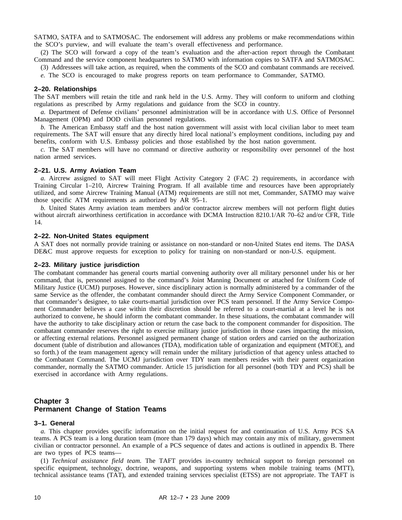SATMO, SATFA and to SATMOSAC. The endorsement will address any problems or make recommendations within the SCO's purview, and will evaluate the team's overall effectiveness and performance.

(2) The SCO will forward a copy of the team's evaluation and the after-action report through the Combatant Command and the service component headquarters to SATMO with information copies to SATFA and SATMOSAC.

(3) Addressees will take action, as required, when the comments of the SCO and combatant commands are received.

*e.* The SCO is encouraged to make progress reports on team performance to Commander, SATMO.

#### **2–20. Relationships**

The SAT members will retain the title and rank held in the U.S. Army. They will conform to uniform and clothing regulations as prescribed by Army regulations and guidance from the SCO in country.

*a.* Department of Defense civilians' personnel administration will be in accordance with U.S. Office of Personnel Management (OPM) and DOD civilian personnel regulations.

*b.* The American Embassy staff and the host nation government will assist with local civilian labor to meet team requirements. The SAT will ensure that any directly hired local national's employment conditions, including pay and benefits, conform with U.S. Embassy policies and those established by the host nation government.

*c.* The SAT members will have no command or directive authority or responsibility over personnel of the host nation armed services.

#### **2–21. U.S. Army Aviation Team**

*a.* Aircrew assigned to SAT will meet Flight Activity Category 2 (FAC 2) requirements, in accordance with Training Circular 1–210, Aircrew Training Program. If all available time and resources have been appropriately utilized, and some Aircrew Training Manual (ATM) requirements are still not met, Commander, SATMO may waive those specific ATM requirements as authorized by AR 95–1.

*b.* United States Army aviation team members and/or contractor aircrew members will not perform flight duties without aircraft airworthiness certification in accordance with DCMA Instruction 8210.1/AR 70–62 and/or CFR, Title 14.

#### **2–22. Non-United States equipment**

A SAT does not normally provide training or assistance on non-standard or non-United States end items. The DASA DE&C must approve requests for exception to policy for training on non-standard or non-U.S. equipment.

#### **2–23. Military justice jurisdiction**

The combatant commander has general courts martial convening authority over all military personnel under his or her command, that is, personnel assigned to the command's Joint Manning Document or attached for Uniform Code of Military Justice (UCMJ) purposes. However, since disciplinary action is normally administered by a commander of the same Service as the offender, the combatant commander should direct the Army Service Component Commander, or that commander's designee, to take courts-martial jurisdiction over PCS team personnel. If the Army Service Component Commander believes a case within their discretion should be referred to a court-martial at a level he is not authorized to convene, he should inform the combatant commander. In these situations, the combatant commander will have the authority to take disciplinary action or return the case back to the component commander for disposition. The combatant commander reserves the right to exercise military justice jurisdiction in those cases impacting the mission, or affecting external relations. Personnel assigned permanent change of station orders and carried on the authorization document (table of distribution and allowances (TDA), modification table of organization and equipment (MTOE), and so forth.) of the team management agency will remain under the military jurisdiction of that agency unless attached to the Combatant Command. The UCMJ jurisdiction over TDY team members resides with their parent organization commander, normally the SATMO commander. Article 15 jurisdiction for all personnel (both TDY and PCS) shall be exercised in accordance with Army regulations.

#### **Chapter 3 Permanent Change of Station Teams**

#### **3–1. General**

*a.* This chapter provides specific information on the initial request for and continuation of U.S. Army PCS SA teams. A PCS team is a long duration team (more than 179 days) which may contain any mix of military, government civilian or contractor personnel. An example of a PCS sequence of dates and actions is outlined in appendix B. There are two types of PCS teams—

(1) *Technical assistance field team.* The TAFT provides in-country technical support to foreign personnel on specific equipment, technology, doctrine, weapons, and supporting systems when mobile training teams (MTT), technical assistance teams (TAT), and extended training services specialist (ETSS) are not appropriate. The TAFT is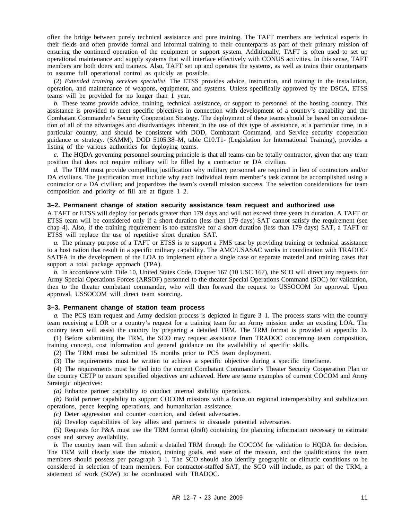often the bridge between purely technical assistance and pure training. The TAFT members are technical experts in their fields and often provide formal and informal training to their counterparts as part of their primary mission of ensuring the continued operation of the equipment or support system. Additionally, TAFT is often used to set up operational maintenance and supply systems that will interface effectively with CONUS activities. In this sense, TAFT members are both doers and trainers. Also, TAFT set up and operates the systems, as well as trains their counterparts to assume full operational control as quickly as possible.

(2) *Extended training services specialist.* The ETSS provides advice, instruction, and training in the installation, operation, and maintenance of weapons, equipment, and systems. Unless specifically approved by the DSCA, ETSS teams will be provided for no longer than 1 year.

*b.* These teams provide advice, training, technical assistance, or support to personnel of the hosting country. This assistance is provided to meet specific objectives in connection with development of a country's capability and the Combatant Commander's Security Cooperation Strategy. The deployment of these teams should be based on consideration of all of the advantages and disadvantages inherent in the use of this type of assistance, at a particular time, in a particular country, and should be consistent with DOD, Combatant Command, and Service security cooperation guidance or strategy. (SAMM), DOD 5105.38–M, table C10.T1- (Legislation for International Training), provides a listing of the various authorities for deploying teams.

*c.* The HQDA governing personnel sourcing principle is that all teams can be totally contractor, given that any team position that does not require military will be filled by a contractor or DA civilian.

*d.* The TRM must provide compelling justification why military personnel are required in lieu of contractors and/or DA civilians. The justification must include why each individual team member's task cannot be accomplished using a contractor or a DA civilian; and jeopardizes the team's overall mission success. The selection considerations for team composition and priority of fill are at figure 1–2.

#### **3–2. Permanent change of station security assistance team request and authorized use**

A TAFT or ETSS will deploy for periods greater than 179 days and will not exceed three years in duration. A TAFT or ETSS team will be considered only if a short duration (less then 179 days) SAT cannot satisfy the requirement (see chap 4). Also, if the training requirement is too extensive for a short duration (less than 179 days) SAT, a TAFT or ETSS will replace the use of repetitive short duration SAT.

*a.* The primary purpose of a TAFT or ETSS is to support a FMS case by providing training or technical assistance to a host nation that result in a specific military capability. The AMC/USASAC works in coordination with TRADOC/ SATFA in the development of the LOA to implement either a single case or separate materiel and training cases that support a total package approach (TPA).

*b.* In accordance with Title 10, United States Code, Chapter 167 (10 USC 167), the SCO will direct any requests for Army Special Operations Forces (ARSOF) personnel to the theater Special Operations Command (SOC) for validation, then to the theater combatant commander, who will then forward the request to USSOCOM for approval. Upon approval, USSOCOM will direct team sourcing.

#### **3–3. Permanent change of station team process**

*a.* The PCS team request and Army decision process is depicted in figure 3–1. The process starts with the country team receiving a LOR or a country's request for a training team for an Army mission under an existing LOA. The country team will assist the country by preparing a detailed TRM. The TRM format is provided at appendix D.

(1) Before submitting the TRM, the SCO may request assistance from TRADOC concerning team composition, training concept, cost information and general guidance on the availability of specific skills.

(2) The TRM must be submitted 15 months prior to PCS team deployment.

(3) The requirements must be written to achieve a specific objective during a specific timeframe.

(4) The requirements must be tied into the current Combatant Commander's Theater Security Cooperation Plan or the country CETP to ensure specified objectives are achieved. Here are some examples of current COCOM and Army Strategic objectives:

*(a)* Enhance partner capability to conduct internal stability operations.

*(b)* Build partner capability to support COCOM missions with a focus on regional interoperability and stabilization operations, peace keeping operations, and humanitarian assistance.

*(c)* Deter aggression and counter coercion, and defeat adversaries.

*(d)* Develop capabilities of key allies and partners to dissuade potential adversaries.

(5) Requests for P&A must use the TRM format (draft) containing the planning information necessary to estimate costs and survey availability.

*b.* The country team will then submit a detailed TRM through the COCOM for validation to HQDA for decision. The TRM will clearly state the mission, training goals, end state of the mission, and the qualifications the team members should possess per paragraph 3–1. The SCO should also identify geographic or climatic conditions to be considered in selection of team members. For contractor-staffed SAT, the SCO will include, as part of the TRM, a statement of work (SOW) to be coordinated with TRADOC.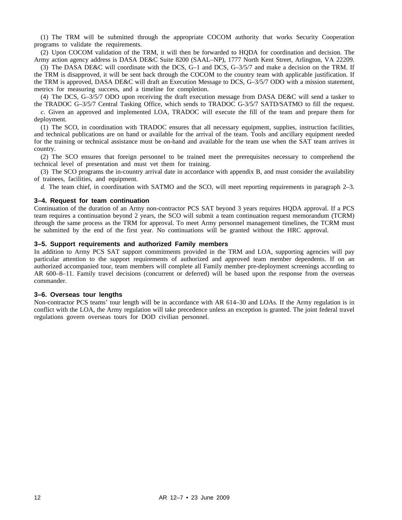(1) The TRM will be submitted through the appropriate COCOM authority that works Security Cooperation programs to validate the requirements.

(2) Upon COCOM validation of the TRM, it will then be forwarded to HQDA for coordination and decision. The Army action agency address is DASA DE&C Suite 8200 (SAAL–NP), 1777 North Kent Street, Arlington, VA 22209.

(3) The DASA DE&C will coordinate with the DCS, G–1 and DCS, G–3/5/7 and make a decision on the TRM. If the TRM is disapproved, it will be sent back through the COCOM to the country team with applicable justification. If the TRM is approved, DASA DE&C will draft an Execution Message to DCS, G–3/5/7 ODO with a mission statement, metrics for measuring success, and a timeline for completion.

(4) The DCS, G–3/5/7 ODO upon receiving the draft execution message from DASA DE&C will send a tasker to the TRADOC G–3/5/7 Central Tasking Office, which sends to TRADOC G-3/5/7 SATD/SATMO to fill the request.

*c.* Given an approved and implemented LOA, TRADOC will execute the fill of the team and prepare them for deployment.

(1) The SCO, in coordination with TRADOC ensures that all necessary equipment, supplies, instruction facilities, and technical publications are on hand or available for the arrival of the team. Tools and ancillary equipment needed for the training or technical assistance must be on-hand and available for the team use when the SAT team arrives in country.

(2) The SCO ensures that foreign personnel to be trained meet the prerequisites necessary to comprehend the technical level of presentation and must vet them for training.

(3) The SCO programs the in-country arrival date in accordance with appendix B, and must consider the availability of trainees, facilities, and equipment.

*d.* The team chief, in coordination with SATMO and the SCO, will meet reporting requirements in paragraph 2–3.

#### **3–4. Request for team continuation**

Continuation of the duration of an Army non-contractor PCS SAT beyond 3 years requires HQDA approval. If a PCS team requires a continuation beyond 2 years, the SCO will submit a team continuation request memorandum (TCRM) through the same process as the TRM for approval. To meet Army personnel management timelines, the TCRM must be submitted by the end of the first year. No continuations will be granted without the HRC approval.

#### **3–5. Support requirements and authorized Family members**

In addition to Army PCS SAT support commitments provided in the TRM and LOA, supporting agencies will pay particular attention to the support requirements of authorized and approved team member dependents. If on an authorized accompanied tour, team members will complete all Family member pre-deployment screenings according to AR 600–8–11. Family travel decisions (concurrent or deferred) will be based upon the response from the overseas commander.

#### **3–6. Overseas tour lengths**

Non-contractor PCS teams' tour length will be in accordance with AR 614–30 and LOAs. If the Army regulation is in conflict with the LOA, the Army regulation will take precedence unless an exception is granted. The joint federal travel regulations govern overseas tours for DOD civilian personnel.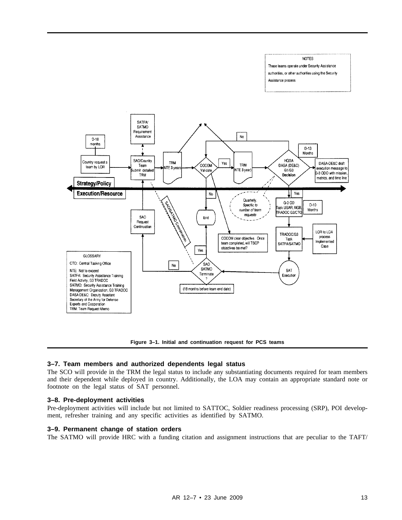#### **NOTES** These teams operate under Security Assistance authorities, or other authorities using the Security Assistance process



**Figure 3–1. Initial and continuation request for PCS teams**

#### **3–7. Team members and authorized dependents legal status**

The SCO will provide in the TRM the legal status to include any substantiating documents required for team members and their dependent while deployed in country. Additionally, the LOA may contain an appropriate standard note or footnote on the legal status of SAT personnel.

#### **3–8. Pre-deployment activities**

Pre-deployment activities will include but not limited to SATTOC, Soldier readiness processing (SRP), POI development, refresher training and any specific activities as identified by SATMO.

#### **3–9. Permanent change of station orders**

The SATMO will provide HRC with a funding citation and assignment instructions that are peculiar to the TAFT/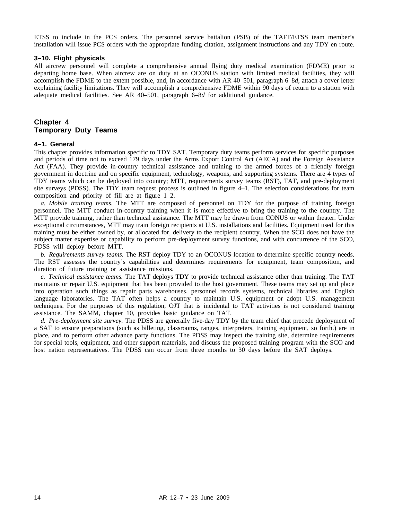ETSS to include in the PCS orders. The personnel service battalion (PSB) of the TAFT/ETSS team member's installation will issue PCS orders with the appropriate funding citation, assignment instructions and any TDY en route.

#### **3–10. Flight physicals**

All aircrew personnel will complete a comprehensive annual flying duty medical examination (FDME) prior to departing home base. When aircrew are on duty at an OCONUS station with limited medical facilities, they will accomplish the FDME to the extent possible, and, In accordance with AR 40–501, paragraph 6–8*d*, attach a cover letter explaining facility limitations. They will accomplish a comprehensive FDME within 90 days of return to a station with adequate medical facilities. See AR 40–501, paragraph 6–8*d* for additional guidance.

#### **Chapter 4 Temporary Duty Teams**

#### **4–1. General**

This chapter provides information specific to TDY SAT. Temporary duty teams perform services for specific purposes and periods of time not to exceed 179 days under the Arms Export Control Act (AECA) and the Foreign Assistance Act (FAA). They provide in-country technical assistance and training to the armed forces of a friendly foreign government in doctrine and on specific equipment, technology, weapons, and supporting systems. There are 4 types of TDY teams which can be deployed into country; MTT, requirements survey teams (RST), TAT, and pre-deployment site surveys (PDSS). The TDY team request process is outlined in figure  $4-1$ . The selection considerations for team composition and priority of fill are at figure 1–2.

*a. Mobile training teams.* The MTT are composed of personnel on TDY for the purpose of training foreign personnel. The MTT conduct in-country training when it is more effective to bring the training to the country. The MTT provide training, rather than technical assistance. The MTT may be drawn from CONUS or within theater. Under exceptional circumstances, MTT may train foreign recipients at U.S. installations and facilities. Equipment used for this training must be either owned by, or allocated for, delivery to the recipient country. When the SCO does not have the subject matter expertise or capability to perform pre-deployment survey functions, and with concurrence of the SCO, PDSS will deploy before MTT.

*b. Requirements survey teams.* The RST deploy TDY to an OCONUS location to determine specific country needs. The RST assesses the country's capabilities and determines requirements for equipment, team composition, and duration of future training or assistance missions.

*c. Technical assistance teams.* The TAT deploys TDY to provide technical assistance other than training. The TAT maintains or repair U.S. equipment that has been provided to the host government. These teams may set up and place into operation such things as repair parts warehouses, personnel records systems, technical libraries and English language laboratories. The TAT often helps a country to maintain U.S. equipment or adopt U.S. management techniques. For the purposes of this regulation, OJT that is incidental to TAT activities is not considered training assistance. The SAMM, chapter 10, provides basic guidance on TAT.

*d. Pre-deployment site survey.* The PDSS are generally five-day TDY by the team chief that precede deployment of a SAT to ensure preparations (such as billeting, classrooms, ranges, interpreters, training equipment, so forth.) are in place, and to perform other advance party functions. The PDSS may inspect the training site, determine requirements for special tools, equipment, and other support materials, and discuss the proposed training program with the SCO and host nation representatives. The PDSS can occur from three months to 30 days before the SAT deploys.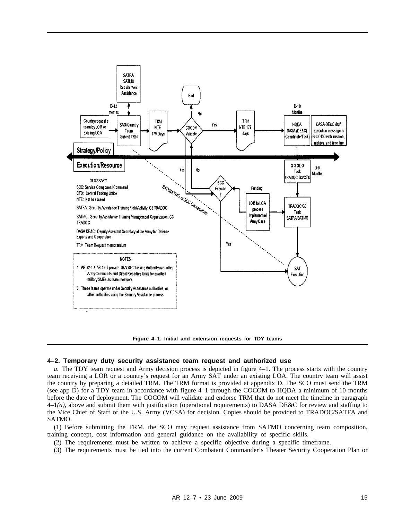

**Figure 4–1. Initial and extension requests for TDY teams**

#### **4–2. Temporary duty security assistance team request and authorized use**

*a.* The TDY team request and Army decision process is depicted in figure 4–1. The process starts with the country team receiving a LOR or a country's request for an Army SAT under an existing LOA. The country team will assist the country by preparing a detailed TRM. The TRM format is provided at appendix D. The SCO must send the TRM (see app D) for a TDY team in accordance with figure 4–1 through the COCOM to HQDA a minimum of 10 months before the date of deployment. The COCOM will validate and endorse TRM that do not meet the timeline in paragraph 4–1*(a)*, above and submit them with justification (operational requirements) to DASA DE&C for review and staffing to the Vice Chief of Staff of the U.S. Army (VCSA) for decision. Copies should be provided to TRADOC/SATFA and SATMO.

(1) Before submitting the TRM, the SCO may request assistance from SATMO concerning team composition, training concept, cost information and general guidance on the availability of specific skills.

- (2) The requirements must be written to achieve a specific objective during a specific timeframe.
- (3) The requirements must be tied into the current Combatant Commander's Theater Security Cooperation Plan or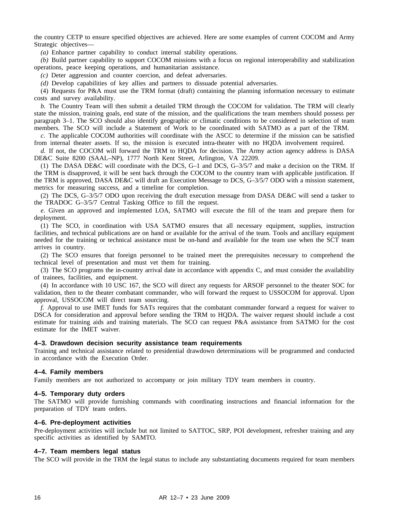the country CETP to ensure specified objectives are achieved. Here are some examples of current COCOM and Army Strategic objectives—

*(a)* Enhance partner capability to conduct internal stability operations.

*(b)* Build partner capability to support COCOM missions with a focus on regional interoperability and stabilization operations, peace keeping operations, and humanitarian assistance.

*(c)* Deter aggression and counter coercion, and defeat adversaries.

*(d)* Develop capabilities of key allies and partners to dissuade potential adversaries.

(4) Requests for P&A must use the TRM format (draft) containing the planning information necessary to estimate costs and survey availability.

*b.* The Country Team will then submit a detailed TRM through the COCOM for validation. The TRM will clearly state the mission, training goals, end state of the mission, and the qualifications the team members should possess per paragraph 3–1. The SCO should also identify geographic or climatic conditions to be considered in selection of team members. The SCO will include a Statement of Work to be coordinated with SATMO as a part of the TRM.

*c.* The applicable COCOM authorities will coordinate with the ASCC to determine if the mission can be satisfied from internal theater assets. If so, the mission is executed intra-theater with no HQDA involvement required.

*d.* If not, the COCOM will forward the TRM to HODA for decision. The Army action agency address is DASA DE&C Suite 8200 (SAAL–NP), 1777 North Kent Street, Arlington, VA 22209.

(1) The DASA DE&C will coordinate with the DCS, G–1 and DCS, G–3/5/7 and make a decision on the TRM. If the TRM is disapproved, it will be sent back through the COCOM to the country team with applicable justification. If the TRM is approved, DASA DE&C will draft an Execution Message to DCS, G–3/5/7 ODO with a mission statement, metrics for measuring success, and a timeline for completion.

(2) The DCS, G–3/5/7 ODO upon receiving the draft execution message from DASA DE&C will send a tasker to the TRADOC G–3/5/7 Central Tasking Office to fill the request.

*e.* Given an approved and implemented LOA, SATMO will execute the fill of the team and prepare them for deployment.

(1) The SCO, in coordination with USA SATMO ensures that all necessary equipment, supplies, instruction facilities, and technical publications are on hand or available for the arrival of the team. Tools and ancillary equipment needed for the training or technical assistance must be on-hand and available for the team use when the SCT team arrives in country.

(2) The SCO ensures that foreign personnel to be trained meet the prerequisites necessary to comprehend the technical level of presentation and must vet them for training.

(3) The SCO programs the in-country arrival date in accordance with appendix C, and must consider the availability of trainees, facilities, and equipment.

(4) In accordance with 10 USC 167, the SCO will direct any requests for ARSOF personnel to the theater SOC for validation, then to the theater combatant commander, who will forward the request to USSOCOM for approval. Upon approval, USSOCOM will direct team sourcing.

*f.* Approval to use IMET funds for SATs requires that the combatant commander forward a request for waiver to DSCA for consideration and approval before sending the TRM to HQDA. The waiver request should include a cost estimate for training aids and training materials. The SCO can request P&A assistance from SATMO for the cost estimate for the IMET waiver.

#### **4–3. Drawdown decision security assistance team requirements**

Training and technical assistance related to presidential drawdown determinations will be programmed and conducted in accordance with the Execution Order.

#### **4–4. Family members**

Family members are not authorized to accompany or join military TDY team members in country.

#### **4–5. Temporary duty orders**

The SATMO will provide furnishing commands with coordinating instructions and financial information for the preparation of TDY team orders.

#### **4–6. Pre-deployment activities**

Pre-deployment activities will include but not limited to SATTOC, SRP, POI development, refresher training and any specific activities as identified by SAMTO.

#### **4–7. Team members legal status**

The SCO will provide in the TRM the legal status to include any substantiating documents required for team members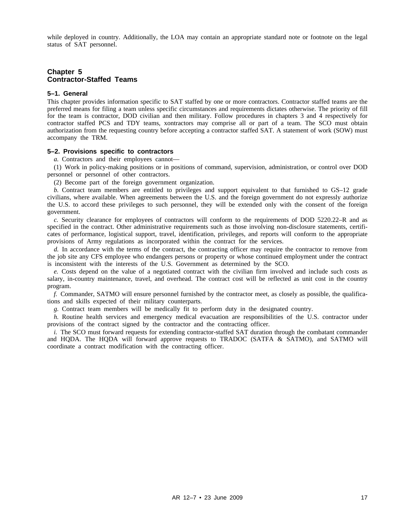while deployed in country. Additionally, the LOA may contain an appropriate standard note or footnote on the legal status of SAT personnel.

#### **Chapter 5 Contractor-Staffed Teams**

#### **5–1. General**

This chapter provides information specific to SAT staffed by one or more contractors. Contractor staffed teams are the preferred means for filing a team unless specific circumstances and requirements dictates otherwise. The priority of fill for the team is contractor, DOD civilian and then military. Follow procedures in chapters 3 and 4 respectively for contractor staffed PCS and TDY teams, xontractors may comprise all or part of a team. The SCO must obtain authorization from the requesting country before accepting a contractor staffed SAT. A statement of work (SOW) must accompany the TRM.

#### **5–2. Provisions specific to contractors**

*a.* Contractors and their employees cannot—

(1) Work in policy-making positions or in positions of command, supervision, administration, or control over DOD personnel or personnel of other contractors.

(2) Become part of the foreign government organization.

*b.* Contract team members are entitled to privileges and support equivalent to that furnished to GS–12 grade civilians, where available. When agreements between the U.S. and the foreign government do not expressly authorize the U.S. to accord these privileges to such personnel, they will be extended only with the consent of the foreign government.

*c.* Security clearance for employees of contractors will conform to the requirements of DOD 5220.22–R and as specified in the contract. Other administrative requirements such as those involving non-disclosure statements, certificates of performance, logistical support, travel, identification, privileges, and reports will conform to the appropriate provisions of Army regulations as incorporated within the contract for the services.

*d.* In accordance with the terms of the contract, the contracting officer may require the contractor to remove from the job site any CFS employee who endangers persons or property or whose continued employment under the contract is inconsistent with the interests of the U.S. Government as determined by the SCO.

*e.* Costs depend on the value of a negotiated contract with the civilian firm involved and include such costs as salary, in-country maintenance, travel, and overhead. The contract cost will be reflected as unit cost in the country program.

*f.* Commander, SATMO will ensure personnel furnished by the contractor meet, as closely as possible, the qualifications and skills expected of their military counterparts.

*g.* Contract team members will be medically fit to perform duty in the designated country.

*h.* Routine health services and emergency medical evacuation are responsibilities of the U.S. contractor under provisions of the contract signed by the contractor and the contracting officer.

*i.* The SCO must forward requests for extending contractor-staffed SAT duration through the combatant commander and HQDA. The HQDA will forward approve requests to TRADOC (SATFA & SATMO), and SATMO will coordinate a contract modification with the contracting officer.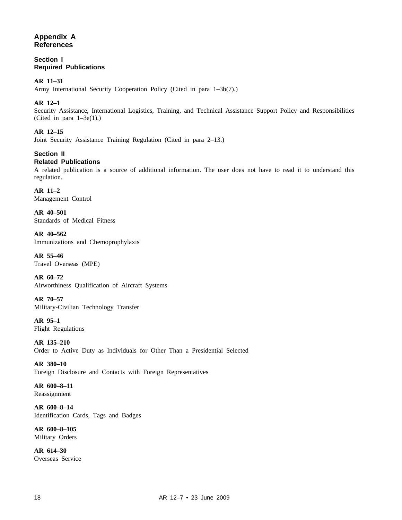#### **Appendix A References**

**Section I Required Publications**

#### **AR 11–31**

Army International Security Cooperation Policy (Cited in para 1–3b(7).)

#### **AR 12–1**

Security Assistance, International Logistics, Training, and Technical Assistance Support Policy and Responsibilities (Cited in para  $1-3e(1)$ .)

#### **AR 12–15**

Joint Security Assistance Training Regulation (Cited in para 2–13.)

#### **Section II Related Publications**

A related publication is a source of additional information. The user does not have to read it to understand this regulation.

**AR 11–2** Management Control

**AR 40–501** Standards of Medical Fitness

**AR 40–562** Immunizations and Chemoprophylaxis

**AR 55–46** Travel Overseas (MPE)

**AR 60–72** Airworthiness Qualification of Aircraft Systems

**AR 70–57** Military-Civilian Technology Transfer

**AR 95–1** Flight Regulations

**AR 135–210** Order to Active Duty as Individuals for Other Than a Presidential Selected

**AR 380–10** Foreign Disclosure and Contacts with Foreign Representatives

**AR 600–8–11** Reassignment

**AR 600–8–14** Identification Cards, Tags and Badges

**AR 600–8–105** Military Orders

**AR 614–30** Overseas Service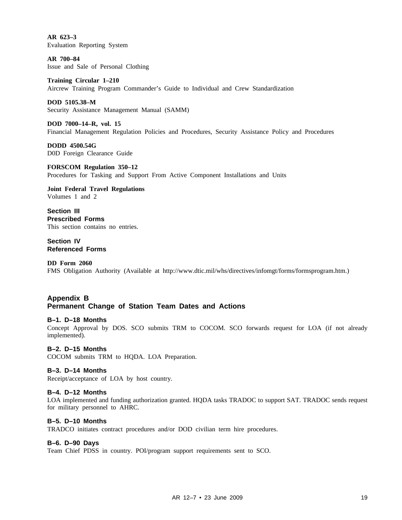**AR 623–3** Evaluation Reporting System

**AR 700–84** Issue and Sale of Personal Clothing

**Training Circular 1–210** Aircrew Training Program Commander's Guide to Individual and Crew Standardization

**DOD 5105.38–M** Security Assistance Management Manual (SAMM)

**DOD 7000–14–R, vol. 15** Financial Management Regulation Policies and Procedures, Security Assistance Policy and Procedures

**DODD 4500.54G** D0D Foreign Clearance Guide

**FORSCOM Regulation 350–12** Procedures for Tasking and Support From Active Component Installations and Units

**Joint Federal Travel Regulations** Volumes 1 and 2

**Section III Prescribed Forms** This section contains no entries.

**Section IV Referenced Forms**

**DD Form 2060** FMS Obligation Authority (Available at http://www.dtic.mil/whs/directives/infomgt/forms/formsprogram.htm.)

#### **Appendix B Permanent Change of Station Team Dates and Actions**

#### **B–1. D–18 Months**

Concept Approval by DOS. SCO submits TRM to COCOM. SCO forwards request for LOA (if not already implemented).

#### **B–2. D–15 Months**

COCOM submits TRM to HQDA. LOA Preparation.

#### **B–3. D–14 Months**

Receipt/acceptance of LOA by host country.

#### **B–4. D–12 Months**

LOA implemented and funding authorization granted. HQDA tasks TRADOC to support SAT. TRADOC sends request for military personnel to AHRC.

#### **B–5. D–10 Months**

TRADCO initiates contract procedures and/or DOD civilian term hire procedures.

#### **B–6. D–90 Days**

Team Chief PDSS in country. POI/program support requirements sent to SCO.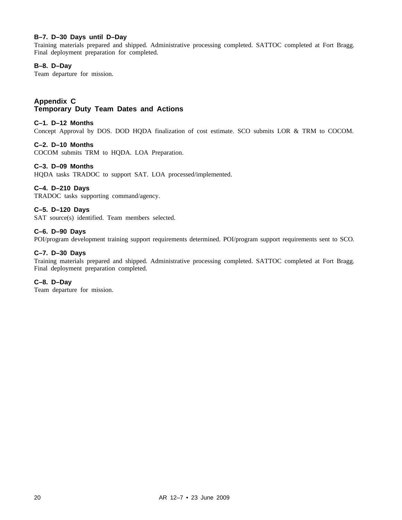#### **B–7. D–30 Days until D–Day**

Training materials prepared and shipped. Administrative processing completed. SATTOC completed at Fort Bragg. Final deployment preparation for completed.

#### **B–8. D–Day**

Team departure for mission.

#### **Appendix C Temporary Duty Team Dates and Actions**

#### **C–1. D–12 Months**

Concept Approval by DOS. DOD HQDA finalization of cost estimate. SCO submits LOR & TRM to COCOM.

#### **C–2. D–10 Months**

COCOM submits TRM to HQDA. LOA Preparation.

#### **C–3. D–09 Months**

HQDA tasks TRADOC to support SAT. LOA processed/implemented.

#### **C–4. D–210 Days**

TRADOC tasks supporting command/agency.

#### **C–5. D–120 Days**

SAT source(s) identified. Team members selected.

#### **C–6. D–90 Days**

POI/program development training support requirements determined. POI/program support requirements sent to SCO.

#### **C–7. D–30 Days**

Training materials prepared and shipped. Administrative processing completed. SATTOC completed at Fort Bragg. Final deployment preparation completed.

#### **C–8. D–Day**

Team departure for mission.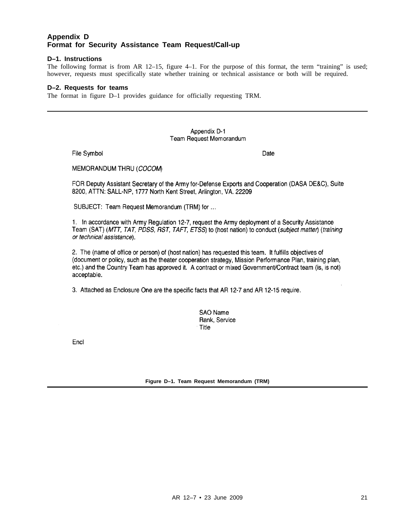#### **Appendix D Format for Security Assistance Team Request/Call-up**

#### **D–1. Instructions**

The following format is from AR 12–15, figure 4–1. For the purpose of this format, the term "training" is used; however, requests must specifically state whether training or technical assistance or both will be required.

#### **D–2. Requests for teams**

The format in figure D–1 provides guidance for officially requesting TRM.

#### Appendix D-1 Team Request Memorandum

File Symbol

Date

MEMORANDUM THRU (COCOM)

FOR Deputy Assistant Secretary of the Army for-Defense Exports and Cooperation (DASA DE&C), Suite 8200, ATTN: SALL-NP, 1777 North Kent Street, Arlington, VA. 22209

SUBJECT: Team Request Memorandum (TRM) for ...

1. In accordance with Army Regulation 12-7, request the Army deployment of a Security Assistance Team (SAT) (MTT, TAT, PDSS, RST, TAFT, ETSS) to (host nation) to conduct (subject matter) (training or technical assistance).

2. The (name of office or person) of (host nation) has requested this team. It fulfills objectives of (document or policy, such as the theater cooperation strategy, Mission Performance Plan, training plan, etc.) and the Country Team has approved it. A contract or mixed Government/Contract team (is, is not) acceptable.

3. Attached as Enclosure One are the specific facts that AR 12-7 and AR 12-15 require.

**SAO Name** Rank, Service Title

Encl

**Figure D–1. Team Request Memorandum (TRM)**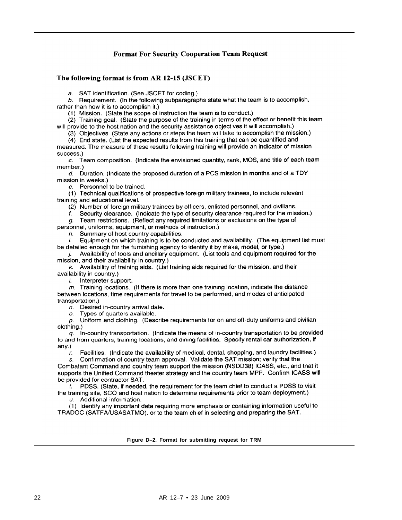#### **Format For Security Cooperation Team Request**

#### The following format is from AR 12-15 (JSCET)

a. SAT identification. (See JSCET for coding.)

 $b$ . Requirement. (In the following subparagraphs state what the team is to accomplish, rather than how it is to accomplish it.)

(1) Mission. (State the scope of instruction the team is to conduct.)

(2) Training goal. (State the purpose of the training in terms of the effect or benefit this team will provide to the host nation and the security assistance objectives it will accomplish.)

(3) Objectives. (State any actions or steps the team will take to accomplish the mission.)

(4) End state. (List the expected results from this training that can be quantified and measured. The measure of these results following training will provide an indicator of mission

success.)

 $c.$  Team composition. (Indicate the envisioned quantity, rank, MOS, and title of each team member.)

d. Duration. (Indicate the proposed duration of a PCS mission in months and of a TDY mission in weeks.)

e. Personnel to be trained.

(1) Technical qualifications of prospective foreign military trainees, to include relevant training and educational level.

(2) Number of foreign military trainees by officers, enlisted personnel, and civilians.

Security clearance. (Indicate the type of security clearance required for the mission.) f.

 $q$ . Team restrictions. (Reflect any required limitations or exclusions on the type of personnel, uniforms, equipment, or methods of instruction.)

h. Summary of host country capabilities.

Equipment on which training is to be conducted and availability. (The equipment list must i. be detailed enough for the furnishing agency to identify it by make, model, or type.)

 $i$ . Availability of tools and ancillary equipment. (List tools and equipment required for the mission, and their availability in country.)

k. Availability of training aids. (List training aids required for the mission, and their availability in country.)

/. Interpreter support.

 $m$ . Training locations. (If there is more than one training location, indicate the distance between locations, time requirements for travel to be performed, and modes of anticipated transportation.)

 $n.$  Desired in-country arrival date.

o. Types of quarters available.

 $p.$  Uniform and clothing. (Describe requirements for on and off-duty uniforms and civilian clothing.)

 $q_i$ . In-country transportation. (Indicate the means of in-country transportation to be provided to and from quarters, training locations, and dining facilities. Specify rental car authorization, if  $any.)$ 

Facilities. (Indicate the availability of medical, dental, shopping, and laundry facilities.) r.

Confirmation of country team approval. Validate the SAT mission; verify that the  $S_{1}$ Combatant Command and country team support the mission (NSDD38) ICASS, etc., and that it supports the Unified Command theater strategy and the country team MPP. Confirm ICASS will be provided for contractor SAT.

 $t$ . PDSS. (State, if needed, the requirement for the team chief to conduct a PDSS to visit the training site, SCO and host nation to determine requirements prior to team deployment.)

 $u$ . Additional information.

(1) Identify any important data requiring more emphasis or containing information useful to TRADOC (SATFA/USASATMO), or to the team chief in selecting and preparing the SAT.

**Figure D–2. Format for submitting request for TRM**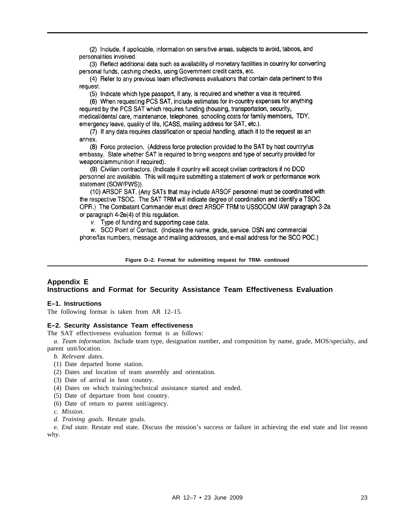(2) Include, if applicable, information on sensitive areas, subjects to avoid, taboos, and personalities involved.

(3) Reflect additional data such as availability of monetary facilities in country for converting personal funds, cashing checks, using Government credit cards, etc.

(4) Refer to any previous team effectiveness evaluations that contain data pertinent to this request.

(5) Indicate which type passport, if any, is required and whether a visa is required.

(6) When requesting PCS SAT, include estimates for in-country expenses for anything required by the PCS SAT which requires funding (housing, transportation, security, medical/dental care, maintenance, telephones, schooling costs for family members, TDY, emergency leave, quality of life, ICASS, mailing address for SAT, etc.).

(7) If any data requires classification or special handling, attach it to the request as an annex.

(8) Force protection. (Address force protection provided to the SAT by host country/us embassy. State whether SAT is required to bring weapons and type of security provided for weapons/ammunition if required).

(9) Civilian contractors. (Indicate if country will accept civilian contractors if no DOD personnel are available. This will require submitting a statement of work or performance work statement (SOW/PWS)).

(10) ARSOF SAT. (Any SATs that may include ARSOF personnel must be coordinated with the respective TSOC. The SAT TRM will indicate degree of coordination and identify a TSOC OPR.) The Combatant Commander must direct ARSOF TRM to USSOCOM IAW paragraph 3-2a or paragraph 4-2e(4) of this regulation.

v. Type of funding and supporting case data.

w. SCO Point of Contact. (Indicate the name, grade, service, DSN and commercial phone/fax numbers, message and mailing addresses, and e-mail address for the SCO POC.)

**Figure D–2. Format for submitting request for TRM- continued**

#### **Appendix E Instructions and Format for Security Assistance Team Effectiveness Evaluation**

#### **E–1. Instructions**

The following format is taken from AR 12–15.

#### **E–2. Security Assistance Team effectiveness**

The SAT effectiveness evaluation format is as follows:

*a. Team information.* Include team type, designation number, and composition by name, grade, MOS/specialty, and parent unit/location.

- *b. Relevant dates.*
- (1) Date departed home station.
- (2) Dates and location of team assembly and orientation.
- (3) Date of arrival in host country.
- (4) Dates on which training/technical assistance started and ended.
- (5) Date of departure from host country.
- (6) Date of return to parent unit/agency.
- *c. Mission.*
- *d. Training goals.* Restate goals.

*e. End state.* Restate end state. Discuss the mission's success or failure in achieving the end state and list reason why.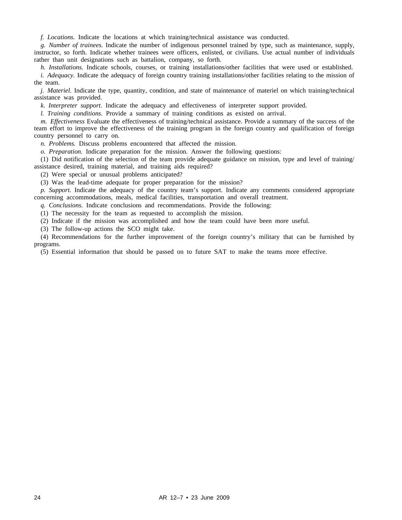*f. Locations.* Indicate the locations at which training/technical assistance was conducted.

*g. Number of trainees.* Indicate the number of indigenous personnel trained by type, such as maintenance, supply, instructor, so forth. Indicate whether trainees were officers, enlisted, or civilians. Use actual number of individuals rather than unit designations such as battalion, company, so forth.

*h. Installations.* Indicate schools, courses, or training installations/other facilities that were used or established.

*i. Adequacy.* Indicate the adequacy of foreign country training installations/other facilities relating to the mission of the team.

*j. Materiel.* Indicate the type, quantity, condition, and state of maintenance of materiel on which training/technical assistance was provided.

*k. Interpreter support.* Indicate the adequacy and effectiveness of interpreter support provided.

*l. Training conditions.* Provide a summary of training conditions as existed on arrival.

*m. Effectiveness* Evaluate the effectiveness of training/technical assistance. Provide a summary of the success of the team effort to improve the effectiveness of the training program in the foreign country and qualification of foreign country personnel to carry on.

*n. Problems.* Discuss problems encountered that affected the mission.

*o. Preparation.* Indicate preparation for the mission. Answer the following questions:

(1) Did notification of the selection of the team provide adequate guidance on mission, type and level of training/ assistance desired, training material, and training aids required?

(2) Were special or unusual problems anticipated?

(3) Was the lead-time adequate for proper preparation for the mission?

*p. Support.* Indicate the adequacy of the country team's support. Indicate any comments considered appropriate concerning accommodations, meals, medical facilities, transportation and overall treatment.

*q. Conclusions.* Indicate conclusions and recommendations. Provide the following:

(1) The necessity for the team as requested to accomplish the mission.

(2) Indicate if the mission was accomplished and how the team could have been more useful.

(3) The follow-up actions the SCO might take.

(4) Recommendations for the further improvement of the foreign country's military that can be furnished by programs.

(5) Essential information that should be passed on to future SAT to make the teams more effective.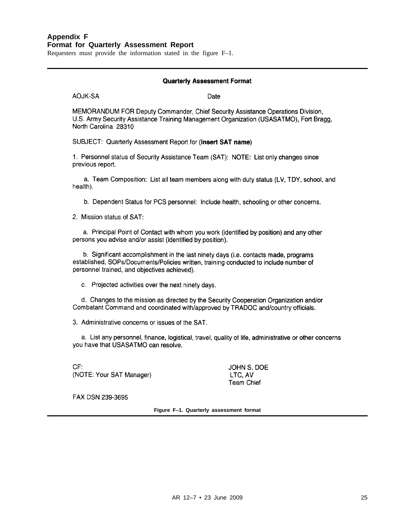#### **Appendix F Format for Quarterly Assessment Report**

Requesters must provide the information stated in the figure F–1.

#### **Quarterly Assessment Format**

**AOJK-SA** 

Date

MEMORANDUM FOR Deputy Commander, Chief Security Assistance Operations Division, U.S. Army Security Assistance Training Management Organization (USASATMO), Fort Bragg, North Carolina 28310

SUBJECT: Quarterly Assessment Report for (Insert SAT name)

1. Personnel status of Security Assistance Team (SAT): NOTE: List only changes since previous report.

a. Team Composition: List all team members along with duty status (LV, TDY, school, and health).

b. Dependent Status for PCS personnel: Include health, schooling or other concerns.

2. Mission status of SAT:

a. Principal Point of Contact with whom you work (identified by position) and any other persons you advise and/or assist (identified by position).

b. Significant accomplishment in the last ninety days (i.e. contacts made, programs established, SOPs/Documents/Policies written, training conducted to include number of personnel trained, and objectives achieved).

c. Projected activities over the next ninety days.

d. Changes to the mission as directed by the Security Cooperation Organization and/or Combatant Command and coordinated with/approved by TRADOC and/country officials.

3. Administrative concerns or issues of the SAT.

a. List any personnel, finance, logistical, travel, quality of life, administrative or other concerns you have that USASATMO can resolve.

 $CF:$ (NOTE: Your SAT Manager)

JOHN S. DOE LTC, AV **Team Chief** 

FAX DSN 239-3695

**Figure F–1. Quarterly assessment format**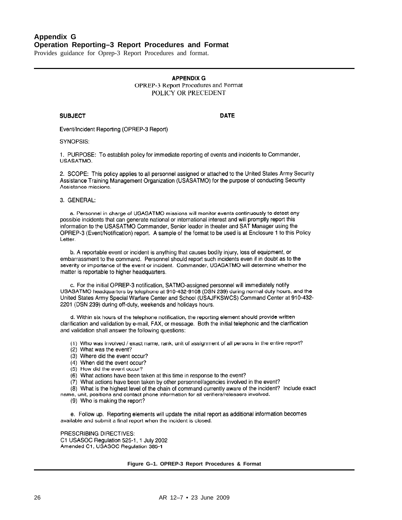**APPENDIX G** OPREP-3 Report Procedures and Format POLICY OR PRECEDENT

#### **SUBJECT**

**DATE** 

Event/Incident Reporting (OPREP-3 Report)

SYNOPSIS:

1. PURPOSE: To establish policy for immediate reporting of events and incidents to Commander, USASATMO.

2. SCOPE: This policy applies to all personnel assigned or attached to the United States Army Security Assistance Training Management Organization (USASATMO) for the purpose of conducting Security Assistance missions.

#### 3. GENERAL:

a. Personnel in charge of USASATMO missions will monitor events continuously to detect any possible incidents that can generate national or international interest and will promptly report this information to the USASATMO Commander, Senior leader in theater and SAT Manager using the OPREP-3 (Event/Notification) report. A sample of the format to be used is at Enclosure 1 to this Policy Letter.

b. A reportable event or incident is anything that causes bodily injury, loss of equipment, or embarrassment to the command. Personnel should report such incidents even if in doubt as to the severity or importance of the event or incident. Commander, USASATMO will determine whether the matter is reportable to higher headquarters.

c. For the initial OPREP-3 notification, SATMO-assigned personnel will immediately notify USASATMO headquarters by telephone at 910-432-9108 (DSN 239) during normal duty hours, and the United States Army Special Warfare Center and School (USAJFKSWCS) Command Center at 910-432-2201 (DSN 239) during off-duty, weekends and holidays hours.

d. Within six hours of the telephone notification, the reporting element should provide written clarification and validation by e-mail, FAX, or message. Both the initial telephonic and the clarification and validation shall answer the following questions:

(1) Who was involved / exact name, rank, unit of assignment of all persons in the entire report?

- (2) What was the event?
- (3) Where did the event occur?
- (4) When did the event occur?
- (5) How did the event occur?
- (6) What actions have been taken at this time in response to the event?
- (7) What actions have been taken by other personnel/agencies involved in the event?
- (8) What is the highest level of the chain of command currently aware of the incident? Include exact

name, unit, positions and contact phone information for all verifiers/releasers involved.

(9) Who is making the report?

e. Follow up. Reporting elements will update the initial report as additional information becomes available and submit a final report when the incident is closed.

PRESCRIBING DIRECTIVES: C1 USASOC Regulation 525-1, 1 July 2002 Amended C1, USASOC Regulation 385-1

**Figure G–1. OPREP-3 Report Procedures & Format**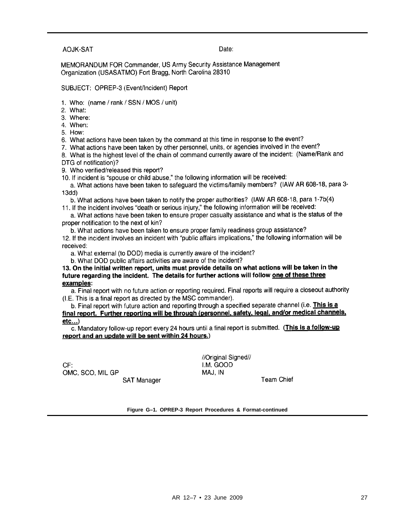#### **AOJK-SAT**

#### Date:

MEMORANDUM FOR Commander, US Army Security Assistance Management Organization (USASATMO) Fort Bragg, North Carolina 28310

SUBJECT: OPREP-3 (Event/Incident) Report

- 1. Who: (name / rank / SSN / MOS / unit)
- 2. What:
- 3. Where:
- 4. When:

5 How:

6. What actions have been taken by the command at this time in response to the event?

7. What actions have been taken by other personnel, units, or agencies involved in the event?

8. What is the highest level of the chain of command currently aware of the incident: (Name/Rank and DTG of notification)?

9. Who verified/released this report?

10. If incident is "spouse or child abuse," the following information will be received:

a. What actions have been taken to safequard the victims/family members? (IAW AR 608-18, para 3- $13dd)$ 

b. What actions have been taken to notify the proper authorities? (IAW AR 608-18, para 1-7b(4)

11. If the incident involves "death or serious injury," the following information will be received:

a. What actions have been taken to ensure proper casualty assistance and what is the status of the proper notification to the next of kin?

b. What actions have been taken to ensure proper family readiness group assistance? 12. If the incident involves an incident with "public affairs implications," the following information will be received:

a. What external (to DOD) media is currently aware of the incident?

b. What DOD public affairs activities are aware of the incident?

13. On the initial written report, units must provide details on what actions will be taken in the future regarding the incident. The details for further actions will follow one of these three examples:

a. Final report with no future action or reporting required. Final reports will require a closeout authority (I.E. This is a final report as directed by the MSC commander).

b. Final report with future action and reporting through a specified separate channel (i.e. This is a final report. Further reporting will be through (personnel, safety, legal, and/or medical channels,  $etc...$ 

c. Mandatory follow-up report every 24 hours until a final report is submitted. (This is a follow-up report and an update will be sent within 24 hours.)

CF: OMC, SCO, MIL GP **SAT Manager**  //Original Signed// I.M. GOOD MAJ, IN

**Team Chief** 

**Figure G–1. OPREP-3 Report Procedures & Format-continued**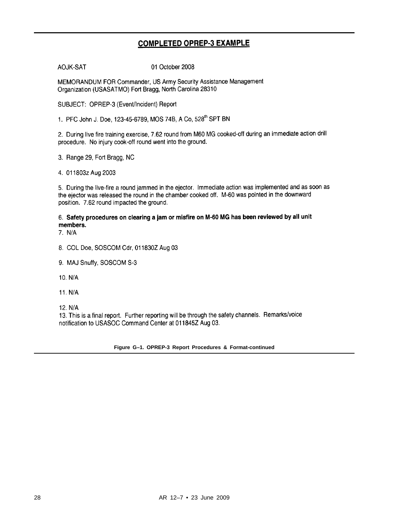#### **COMPLETED OPREP-3 EXAMPLE**

AOJK-SAT

01 October 2008

MEMORANDUM FOR Commander, US Army Security Assistance Management Organization (USASATMO) Fort Bragg, North Carolina 28310

SUBJECT: OPREP-3 (Event/Incident) Report

1. PFC John J. Doe, 123-45-6789, MOS 74B, A Co, 528th SPT BN

2. During live fire training exercise, 7.62 round from M60 MG cooked-off during an immediate action drill procedure. No injury cook-off round went into the ground.

3. Range 29, Fort Bragg, NC

4. 011803z Aug 2003

5. During the live-fire a round jammed in the ejector. Immediate action was implemented and as soon as the ejector was released the round in the chamber cooked off. M-60 was pointed in the downward position. 7.62 round impacted the ground.

6. Safety procedures on clearing a jam or misfire on M-60 MG has been reviewed by all unit members.

 $7. N/A$ 

- 8. COL Doe, SOSCOM Cdr, 011830Z Aug 03
- 9. MAJ Snuffy, SOSCOM S-3
- 10. N/A
- 11. N/A
- 12. N/A

13. This is a final report. Further reporting will be through the safety channels. Remarks/voice notification to USASOC Command Center at 011845Z Aug 03.

**Figure G–1. OPREP-3 Report Procedures & Format-continued**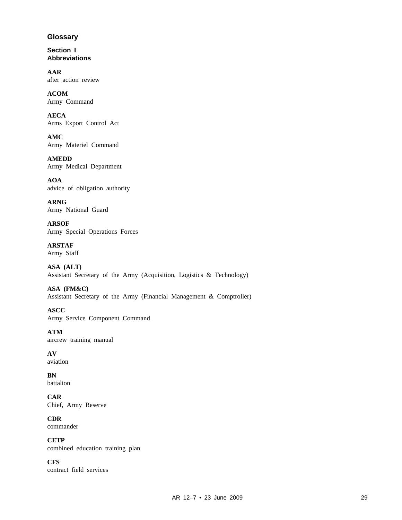#### **Glossary**

**Section I Abbreviations**

**AAR** after action review

**ACOM** Army Command

**AECA** Arms Export Control Act

**AMC** Army Materiel Command

**AMEDD** Army Medical Department

**AOA** advice of obligation authority

**ARNG** Army National Guard

**ARSOF** Army Special Operations Forces

**ARSTAF** Army Staff

**ASA (ALT)** Assistant Secretary of the Army (Acquisition, Logistics & Technology)

**ASA (FM&C)** Assistant Secretary of the Army (Financial Management & Comptroller)

**ASCC** Army Service Component Command

**ATM** aircrew training manual

**AV** aviation

**BN** battalion

**CAR** Chief, Army Reserve

**CDR** commander

**CETP** combined education training plan

**CFS** contract field services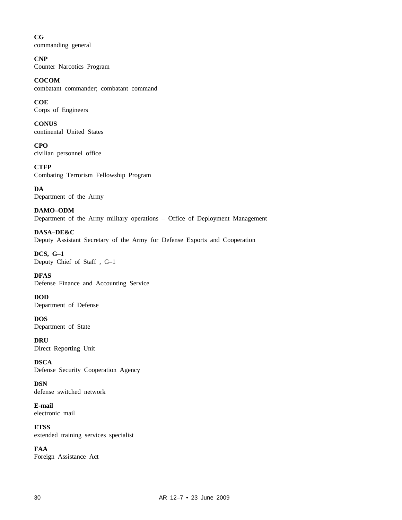**CG** commanding general

**CNP** Counter Narcotics Program

**COCOM** combatant commander; combatant command

**COE** Corps of Engineers

**CONUS** continental United States

**CPO** civilian personnel office

**CTFP** Combating Terrorism Fellowship Program

**DA** Department of the Army

**DAMO–ODM** Department of the Army military operations – Office of Deployment Management

**DASA–DE&C** Deputy Assistant Secretary of the Army for Defense Exports and Cooperation

**DCS, G–1** Deputy Chief of Staff , G–1

**DFAS** Defense Finance and Accounting Service

**DOD** Department of Defense

**DOS** Department of State

**DRU** Direct Reporting Unit

**DSCA** Defense Security Cooperation Agency

**DSN** defense switched network

**E-mail** electronic mail

**ETSS** extended training services specialist

**FAA** Foreign Assistance Act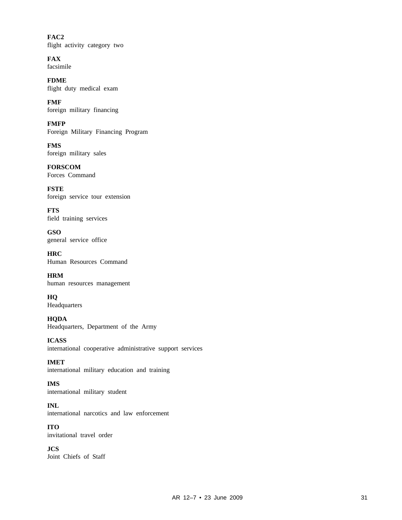**FAC2** flight activity category two

**FAX** facsimile

**FDME** flight duty medical exam

**FMF** foreign military financing

**FMFP** Foreign Military Financing Program

**FMS** foreign military sales

**FORSCOM** Forces Command

**FSTE** foreign service tour extension

**FTS** field training services

**GSO** general service office

**HRC** Human Resources Command

**HRM** human resources management

**HQ** Headquarters

**HQDA** Headquarters, Department of the Army

**ICASS** international cooperative administrative support services

**IMET** international military education and training

**IMS** international military student

**INL** international narcotics and law enforcement

**ITO** invitational travel order

**JCS** Joint Chiefs of Staff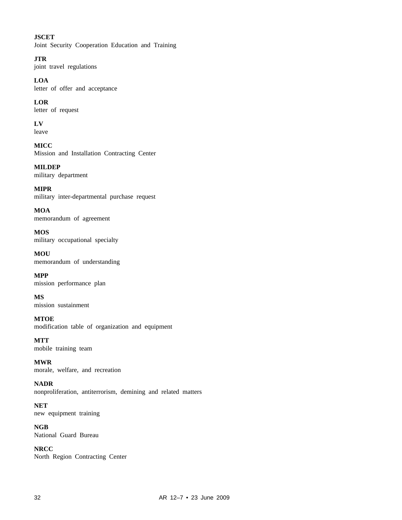#### **JSCET**

Joint Security Cooperation Education and Training

**JTR**

joint travel regulations

**LOA**

letter of offer and acceptance

**LOR** letter of request

**LV**

leave

**MICC** Mission and Installation Contracting Center

**MILDEP** military department

**MIPR** military inter-departmental purchase request

**MOA** memorandum of agreement

**MOS** military occupational specialty

**MOU** memorandum of understanding

**MPP** mission performance plan

**MS** mission sustainment

**MTOE** modification table of organization and equipment

**MTT** mobile training team

**MWR** morale, welfare, and recreation

**NADR** nonproliferation, antiterrorism, demining and related matters

**NET** new equipment training

**NGB** National Guard Bureau

**NRCC** North Region Contracting Center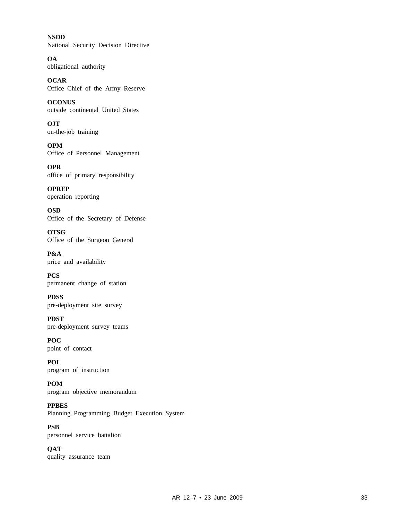**NSDD** National Security Decision Directive

**OA** obligational authority

**OCAR** Office Chief of the Army Reserve

**OCONUS** outside continental United States

**OJT** on-the-job training

**OPM** Office of Personnel Management

**OPR** office of primary responsibility

**OPREP** operation reporting

**OSD** Office of the Secretary of Defense

**OTSG** Office of the Surgeon General

**P&A** price and availability

**PCS** permanent change of station

**PDSS** pre-deployment site survey

**PDST** pre-deployment survey teams

**POC** point of contact

**POI** program of instruction

**POM** program objective memorandum

**PPBES** Planning Programming Budget Execution System

**PSB** personnel service battalion

**QAT** quality assurance team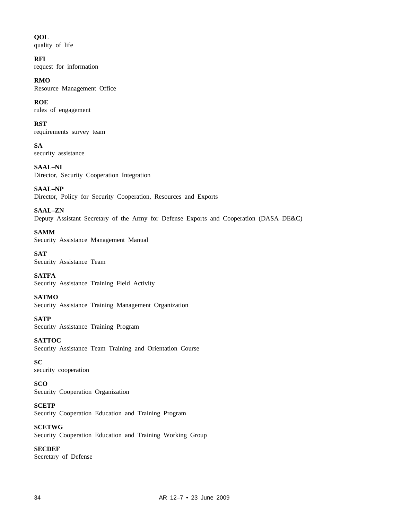#### **QOL**

quality of life

#### **RFI**

request for information

#### **RMO**

Resource Management Office

#### **ROE**

rules of engagement

#### **RST**

requirements survey team

**SA** security assistance

**SAAL–NI** Director, Security Cooperation Integration

**SAAL–NP** Director, Policy for Security Cooperation, Resources and Exports

**SAAL–ZN** Deputy Assistant Secretary of the Army for Defense Exports and Cooperation (DASA–DE&C)

**SAMM** Security Assistance Management Manual

**SAT** Security Assistance Team

**SATFA** Security Assistance Training Field Activity

#### **SATMO**

Security Assistance Training Management Organization

**SATP** Security Assistance Training Program

**SATTOC** Security Assistance Team Training and Orientation Course

#### **SC**

security cooperation

#### **SCO**

Security Cooperation Organization

**SCETP**

Security Cooperation Education and Training Program

#### **SCETWG**

Security Cooperation Education and Training Working Group

#### **SECDEF**

Secretary of Defense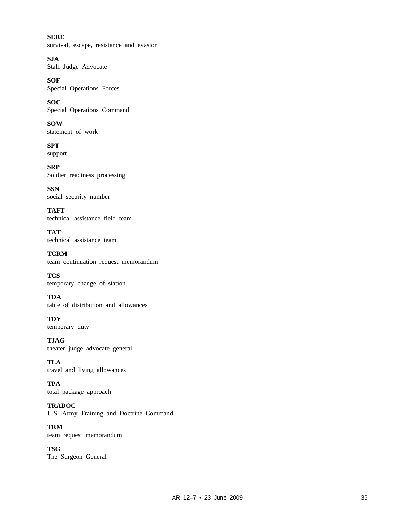**SERE** survival, escape, resistance and evasion

**SJA** Staff Judge Advocate

**SOF** Special Operations Forces

**SOC** Special Operations Command

**SOW** statement of work

**SPT** support

**SRP** Soldier readiness processing

**SSN** social security number

**TAFT** technical assistance field team

**TAT** technical assistance team

**TCRM** team continuation request memorandum

**TCS** temporary change of station

**TDA** table of distribution and allowances

**TDY** temporary duty

**TJAG** theater judge advocate general

**TLA** travel and living allowances

**TPA** total package approach

**TRADOC** U.S. Army Training and Doctrine Command

**TRM** team request memorandum

**TSG** The Surgeon General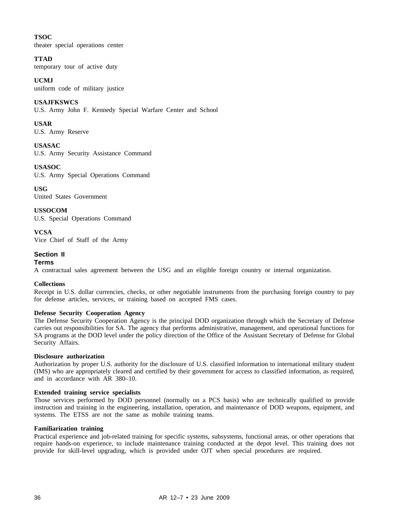#### **TSOC**

theater special operations center

#### **TTAD**

temporary tour of active duty

#### **UCMJ**

uniform code of military justice

#### **USAJFKSWCS**

U.S. Army John F. Kennedy Special Warfare Center and School

#### **USAR**

U.S. Army Reserve

**USASAC** U.S. Army Security Assistance Command

**USASOC** U.S. Army Special Operations Command

**USG** United States Government

**USSOCOM** U.S. Special Operations Command

**VCSA** Vice Chief of Staff of the Army

#### **Section II**

#### **Terms**

A contractual sales agreement between the USG and an eligible foreign country or internal organization.

#### **Collections**

Receipt in U.S. dollar currencies, checks, or other negotiable instruments from the purchasing foreign country to pay for defense articles, services, or training based on accepted FMS cases.

#### **Defense Security Cooperation Agency**

The Defense Security Cooperation Agency is the principal DOD organization through which the Secretary of Defense carries out responsibilities for SA. The agency that performs administrative, management, and operational functions for SA programs at the DOD level under the policy direction of the Office of the Assistant Secretary of Defense for Global Security Affairs.

#### **Disclosure authorization**

Authorization by proper U.S. authority for the disclosure of U.S. classified information to international military student (IMS) who are appropriately cleared and certified by their government for access to classified information, as required, and in accordance with AR 380–10.

#### **Extended training service specialists**

Those services performed by DOD personnel (normally on a PCS basis) who are technically qualified to provide instruction and training in the engineering, installation, operation, and maintenance of DOD weapons, equipment, and systems. The ETSS are not the same as mobile training teams.

#### **Familiarization training**

Practical experience and job-related training for specific systems, subsystems, functional areas, or other operations that require hands-on experience, to include maintenance training conducted at the depot level. This training does not provide for skill-level upgrading, which is provided under OJT when special procedures are required.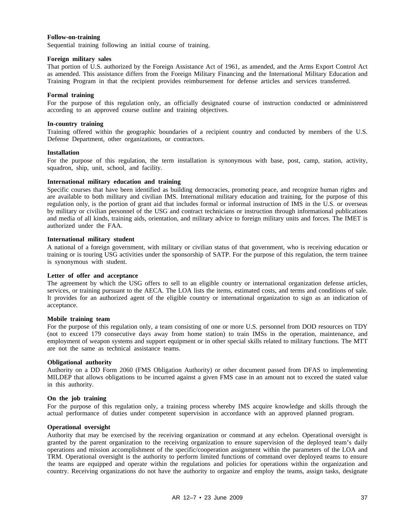#### **Follow-on-training**

Sequential training following an initial course of training.

#### **Foreign military sales**

That portion of U.S. authorized by the Foreign Assistance Act of 1961, as amended, and the Arms Export Control Act as amended. This assistance differs from the Foreign Military Financing and the International Military Education and Training Program in that the recipient provides reimbursement for defense articles and services transferred.

#### **Formal training**

For the purpose of this regulation only, an officially designated course of instruction conducted or administered according to an approved course outline and training objectives.

#### **In-country training**

Training offered within the geographic boundaries of a recipient country and conducted by members of the U.S. Defense Department, other organizations, or contractors.

#### **Installation**

For the purpose of this regulation, the term installation is synonymous with base, post, camp, station, activity, squadron, ship, unit, school, and facility.

#### **International military education and training**

Specific courses that have been identified as building democracies, promoting peace, and recognize human rights and are available to both military and civilian IMS. International military education and training, for the purpose of this regulation only, is the portion of grant aid that includes formal or informal instruction of IMS in the U.S. or overseas by military or civilian personnel of the USG and contract technicians or instruction through informational publications and media of all kinds, training aids, orientation, and military advice to foreign military units and forces. The IMET is authorized under the FAA.

#### **International military student**

A national of a foreign government, with military or civilian status of that government, who is receiving education or training or is touring USG activities under the sponsorship of SATP. For the purpose of this regulation, the term trainee is synonymous with student.

#### **Letter of offer and acceptance**

The agreement by which the USG offers to sell to an eligible country or international organization defense articles, services, or training pursuant to the AECA. The LOA lists the items, estimated costs, and terms and conditions of sale. It provides for an authorized agent of the eligible country or international organization to sign as an indication of acceptance.

#### **Mobile training team**

For the purpose of this regulation only, a team consisting of one or more U.S. personnel from DOD resources on TDY (not to exceed 179 consecutive days away from home station) to train IMSs in the operation, maintenance, and employment of weapon systems and support equipment or in other special skills related to military functions. The MTT are not the same as technical assistance teams.

#### **Obligational authority**

Authority on a DD Form 2060 (FMS Obligation Authority) or other document passed from DFAS to implementing MILDEP that allows obligations to be incurred against a given FMS case in an amount not to exceed the stated value in this authority.

#### **On the job training**

For the purpose of this regulation only, a training process whereby IMS acquire knowledge and skills through the actual performance of duties under competent supervision in accordance with an approved planned program.

#### **Operational oversight**

Authority that may be exercised by the receiving organization or command at any echelon. Operational oversight is granted by the parent organization to the receiving organization to ensure supervision of the deployed team's daily operations and mission accomplishment of the specific/cooperation assignment within the parameters of the LOA and TRM. Operational oversight is the authority to perform limited functions of command over deployed teams to ensure the teams are equipped and operate within the regulations and policies for operations within the organization and country. Receiving organizations do not have the authority to organize and employ the teams, assign tasks, designate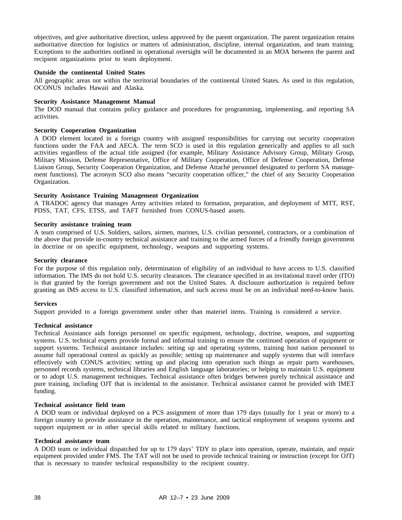objectives, and give authoritative direction, unless approved by the parent organization. The parent organization retains authoritative direction for logistics or matters of administration, discipline, internal organization, and team training. Exceptions to the authorities outlined in operational oversight will be documented in an MOA between the parent and recipient organizations prior to team deployment.

#### **Outside the continental United States**

All geographic areas not within the territorial boundaries of the continental United States. As used in this regulation, OCONUS includes Hawaii and Alaska.

#### **Security Assistance Management Manual**

The DOD manual that contains policy guidance and procedures for programming, implementing, and reporting SA activities.

#### **Security Cooperation Organization**

A DOD element located in a foreign country with assigned responsibilities for carrying out security cooperation functions under the FAA and AECA. The term SCO is used in this regulation generically and applies to all such activities regardless of the actual title assigned (for example, Military Assistance Advisory Group, Military Group, Military Mission, Defense Representative, Office of Military Cooperation, Office of Defense Cooperation, Defense Liaison Group, Security Cooperation Organization, and Defense Attaché personnel designated to perform SA management functions). The acronym SCO also means "security cooperation officer," the chief of any Security Cooperation Organization.

#### **Security Assistance Training Management Organization**

A TRADOC agency that manages Army activities related to formation, preparation, and deployment of MTT, RST, PDSS, TAT, CFS, ETSS, and TAFT furnished from CONUS-based assets.

#### **Security assistance training team**

A team comprised of U.S. Soldiers, sailors, airmen, marines, U.S. civilian personnel, contractors, or a combination of the above that provide in-country technical assistance and training to the armed forces of a friendly foreign government in doctrine or on specific equipment, technology, weapons and supporting systems.

#### **Security clearance**

For the purpose of this regulation only, determination of eligibility of an individual to have access to U.S. classified information. The IMS do not hold U.S. security clearances. The clearance specified in an invitational travel order (ITO) is that granted by the foreign government and not the United States. A disclosure authorization is required before granting an IMS access to U.S. classified information, and such access must be on an individual need-to-know basis.

#### **Services**

Support provided to a foreign government under other than materiel items. Training is considered a service.

#### **Technical assistance**

Technical Assistance aids foreign personnel on specific equipment, technology, doctrine, weapons, and supporting systems. U.S. technical experts provide formal and informal training to ensure the continued operation of equipment or support systems. Technical assistance includes: setting up and operating systems, training host nation personnel to assume full operational control as quickly as possible; setting up maintenance and supply systems that will interface effectively with CONUS activities; setting up and placing into operation such things as repair parts warehouses, personnel records systems, technical libraries and English language laboratories; or helping to maintain U.S. equipment or to adopt U.S. management techniques. Technical assistance often bridges between purely technical assistance and pure training, including OJT that is incidental to the assistance. Technical assistance cannot be provided with IMET funding.

#### **Technical assistance field team**

A DOD team or individual deployed on a PCS assignment of more than 179 days (usually for 1 year or more) to a foreign country to provide assistance in the operation, maintenance, and tactical employment of weapons systems and support equipment or in other special skills related to military functions.

#### **Technical assistance team**

A DOD team or individual dispatched for up to 179 days' TDY to place into operation, operate, maintain, and repair equipment provided under FMS. The TAT will not be used to provide technical training or instruction (except for OJT) that is necessary to transfer technical responsibility to the recipient country.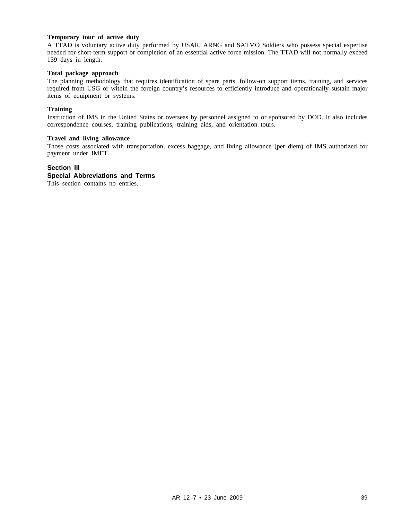#### **Temporary tour of active duty**

A TTAD is voluntary active duty performed by USAR, ARNG and SATMO Soldiers who possess special expertise needed for short-term support or completion of an essential active force mission. The TTAD will not normally exceed 139 days in length.

#### **Total package approach**

The planning methodology that requires identification of spare parts, follow-on support items, training, and services required from USG or within the foreign country's resources to efficiently introduce and operationally sustain major items of equipment or systems.

#### **Training**

Instruction of IMS in the United States or overseas by personnel assigned to or sponsored by DOD. It also includes correspondence courses, training publications, training aids, and orientation tours.

#### **Travel and living allowance**

Those costs associated with transportation, excess baggage, and living allowance (per diem) of IMS authorized for payment under IMET.

#### **Section III**

#### **Special Abbreviations and Terms**

This section contains no entries.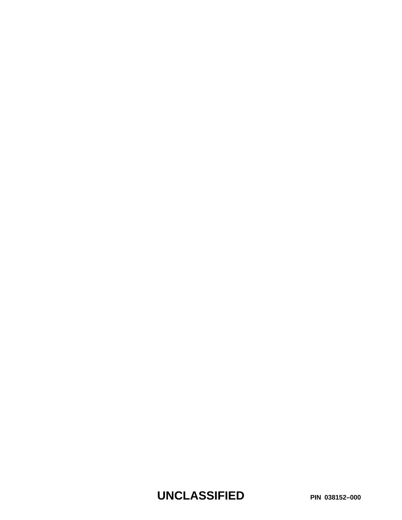**UNCLASSIFIED PIN 038152–000**